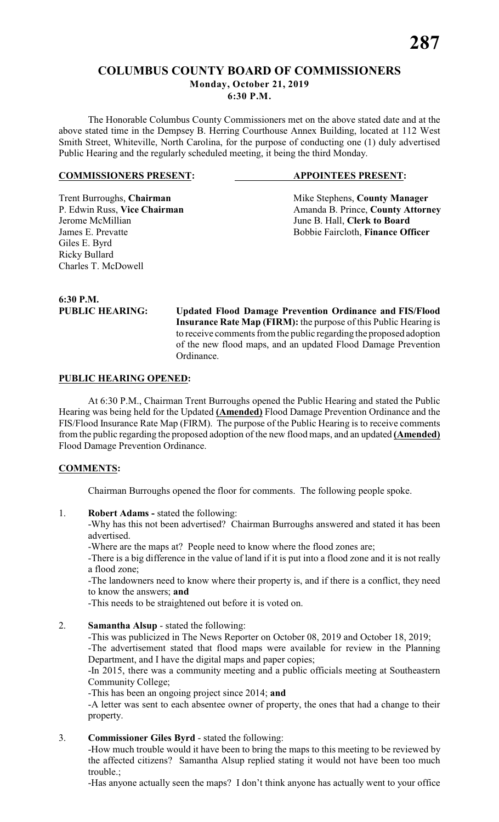# **COLUMBUS COUNTY BOARD OF COMMISSIONERS Monday, October 21, 2019 6:30 P.M.**

The Honorable Columbus County Commissioners met on the above stated date and at the above stated time in the Dempsey B. Herring Courthouse Annex Building, located at 112 West Smith Street, Whiteville, North Carolina, for the purpose of conducting one (1) duly advertised Public Hearing and the regularly scheduled meeting, it being the third Monday.

### **COMMISSIONERS PRESENT: APPOINTEES PRESENT:**

Trent Burroughs, **Chairman** Mike Stephens, **County Manager** P. Edwin Russ, Vice Chairman Manager Amanda B. Prince, **County Attorn** Jerome McMillian June B. Hall, **Clerk to Board**

P. Edwin Russ, **Vice Chairman** Amanda B. Prince, **County Attorney**<br>Jerome McMillian June B. Hall, **Clerk to Board** Bobbie Faircloth, Finance Officer

**6:30 P.M.**

Charles T. McDowell

Giles E. Byrd Ricky Bullard

**PUBLIC HEARING: Updated Flood Damage Prevention Ordinance and FIS/Flood Insurance Rate Map (FIRM):** the purpose of this Public Hearing is to receive comments from the public regarding the proposed adoption of the new flood maps, and an updated Flood Damage Prevention Ordinance.

## **PUBLIC HEARING OPENED:**

At 6:30 P.M., Chairman Trent Burroughs opened the Public Hearing and stated the Public Hearing was being held for the Updated **(Amended)** Flood Damage Prevention Ordinance and the FIS/Flood Insurance Rate Map (FIRM). The purpose of the Public Hearing is to receive comments from the public regarding the proposed adoption of the new flood maps, and an updated **(Amended)** Flood Damage Prevention Ordinance.

# **COMMENTS:**

Chairman Burroughs opened the floor for comments. The following people spoke.

1. **Robert Adams -** stated the following:

-Why has this not been advertised? Chairman Burroughs answered and stated it has been advertised.

-Where are the maps at? People need to know where the flood zones are;

-There is a big difference in the value of land if it is put into a flood zone and it is not really a flood zone;

-The landowners need to know where their property is, and if there is a conflict, they need to know the answers; **and**

-This needs to be straightened out before it is voted on.

2. **Samantha Alsup** - stated the following:

-This was publicized in The News Reporter on October 08, 2019 and October 18, 2019;

-The advertisement stated that flood maps were available for review in the Planning Department, and I have the digital maps and paper copies;

-In 2015, there was a community meeting and a public officials meeting at Southeastern Community College;

-This has been an ongoing project since 2014; **and**

-A letter was sent to each absentee owner of property, the ones that had a change to their property.

3. **Commissioner Giles Byrd** - stated the following:

-How much trouble would it have been to bring the maps to this meeting to be reviewed by the affected citizens? Samantha Alsup replied stating it would not have been too much trouble.;

-Has anyone actually seen the maps? I don't think anyone has actually went to your office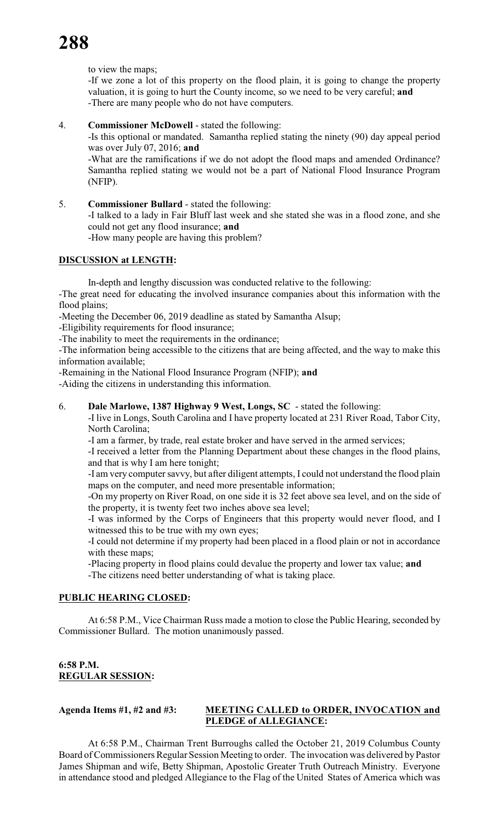to view the maps;

-If we zone a lot of this property on the flood plain, it is going to change the property valuation, it is going to hurt the County income, so we need to be very careful; **and** -There are many people who do not have computers.

### 4. **Commissioner McDowell** - stated the following:

-Is this optional or mandated. Samantha replied stating the ninety (90) day appeal period was over July 07, 2016; **and**

-What are the ramifications if we do not adopt the flood maps and amended Ordinance? Samantha replied stating we would not be a part of National Flood Insurance Program (NFIP).

5. **Commissioner Bullard** - stated the following: -I talked to a lady in Fair Bluff last week and she stated she was in a flood zone, and she could not get any flood insurance; **and** -How many people are having this problem?

### **DISCUSSION at LENGTH:**

In-depth and lengthy discussion was conducted relative to the following:

-The great need for educating the involved insurance companies about this information with the flood plains;

-Meeting the December 06, 2019 deadline as stated by Samantha Alsup;

-Eligibility requirements for flood insurance;

-The inability to meet the requirements in the ordinance;

-The information being accessible to the citizens that are being affected, and the way to make this information available;

-Remaining in the National Flood Insurance Program (NFIP); **and**

-Aiding the citizens in understanding this information.

### 6. **Dale Marlowe, 1387 Highway 9 West, Longs, SC** - stated the following:

-I live in Longs, South Carolina and I have property located at 231 River Road, Tabor City, North Carolina;

-I am a farmer, by trade, real estate broker and have served in the armed services;

-I received a letter from the Planning Department about these changes in the flood plains, and that is why I am here tonight;

-I am very computer savvy, but after diligent attempts, I could not understand the flood plain maps on the computer, and need more presentable information;

-On my property on River Road, on one side it is 32 feet above sea level, and on the side of the property, it is twenty feet two inches above sea level;

-I was informed by the Corps of Engineers that this property would never flood, and I witnessed this to be true with my own eyes;

-I could not determine if my property had been placed in a flood plain or not in accordance with these maps;

 -Placing property in flood plains could devalue the property and lower tax value; **and** -The citizens need better understanding of what is taking place.

### **PUBLIC HEARING CLOSED:**

At 6:58 P.M., Vice Chairman Russ made a motion to close the Public Hearing, seconded by Commissioner Bullard. The motion unanimously passed.

## **6:58 P.M. REGULAR SESSION:**

# **Agenda Items #1, #2 and #3: MEETING CALLED to ORDER, INVOCATION and PLEDGE of ALLEGIANCE:**

At 6:58 P.M., Chairman Trent Burroughs called the October 21, 2019 Columbus County Board of Commissioners Regular Session Meeting to order. The invocation was delivered by Pastor James Shipman and wife, Betty Shipman, Apostolic Greater Truth Outreach Ministry. Everyone in attendance stood and pledged Allegiance to the Flag of the United States of America which was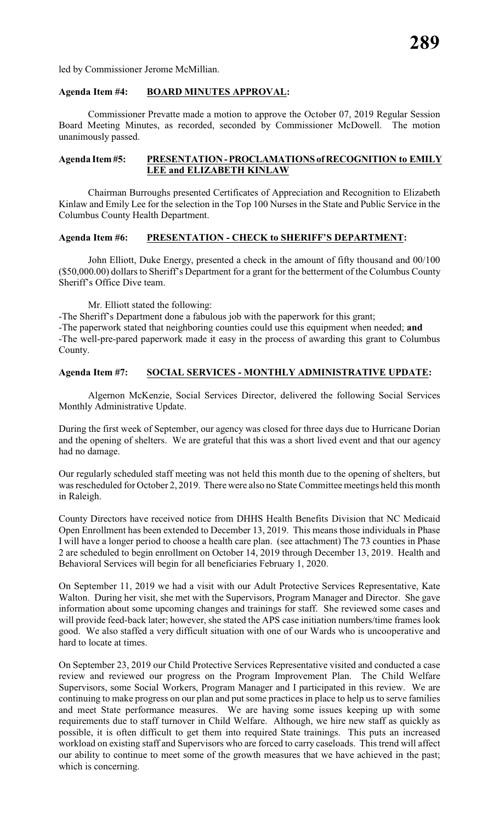led by Commissioner Jerome McMillian.

### **Agenda Item #4: BOARD MINUTES APPROVAL:**

Commissioner Prevatte made a motion to approve the October 07, 2019 Regular Session Board Meeting Minutes, as recorded, seconded by Commissioner McDowell. The motion unanimously passed.

### **Agenda Item #5: PRESENTATION - PROCLAMATIONS of RECOGNITION to EMILY LEE and ELIZABETH KINLAW**

Chairman Burroughs presented Certificates of Appreciation and Recognition to Elizabeth Kinlaw and Emily Lee for the selection in the Top 100 Nurses in the State and Public Service in the Columbus County Health Department.

### **Agenda Item #6: PRESENTATION - CHECK to SHERIFF'S DEPARTMENT:**

John Elliott, Duke Energy, presented a check in the amount of fifty thousand and 00/100 (\$50,000.00) dollarsto Sheriff's Department for a grant for the betterment of the Columbus County Sheriff's Office Dive team.

Mr. Elliott stated the following:

-The Sheriff's Department done a fabulous job with the paperwork for this grant;

-The paperwork stated that neighboring counties could use this equipment when needed; **and** -The well-pre-pared paperwork made it easy in the process of awarding this grant to Columbus County.

## **Agenda Item #7: SOCIAL SERVICES - MONTHLY ADMINISTRATIVE UPDATE:**

Algernon McKenzie, Social Services Director, delivered the following Social Services Monthly Administrative Update.

During the first week of September, our agency was closed for three days due to Hurricane Dorian and the opening of shelters. We are grateful that this was a short lived event and that our agency had no damage.

Our regularly scheduled staff meeting was not held this month due to the opening of shelters, but was rescheduled for October 2, 2019. There were also no State Committee meetings held this month in Raleigh.

County Directors have received notice from DHHS Health Benefits Division that NC Medicaid Open Enrollment has been extended to December 13, 2019. This means those individuals in Phase I will have a longer period to choose a health care plan. (see attachment) The 73 counties in Phase 2 are scheduled to begin enrollment on October 14, 2019 through December 13, 2019. Health and Behavioral Services will begin for all beneficiaries February 1, 2020.

On September 11, 2019 we had a visit with our Adult Protective Services Representative, Kate Walton. During her visit, she met with the Supervisors, Program Manager and Director. She gave information about some upcoming changes and trainings for staff. She reviewed some cases and will provide feed-back later; however, she stated the APS case initiation numbers/time frames look good. We also staffed a very difficult situation with one of our Wards who is uncooperative and hard to locate at times.

On September 23, 2019 our Child Protective Services Representative visited and conducted a case review and reviewed our progress on the Program Improvement Plan. The Child Welfare Supervisors, some Social Workers, Program Manager and I participated in this review. We are continuing to make progress on our plan and put some practices in place to help us to serve families and meet State performance measures. We are having some issues keeping up with some requirements due to staff turnover in Child Welfare. Although, we hire new staff as quickly as possible, it is often difficult to get them into required State trainings. This puts an increased workload on existing staff and Supervisors who are forced to carry caseloads. This trend will affect our ability to continue to meet some of the growth measures that we have achieved in the past; which is concerning.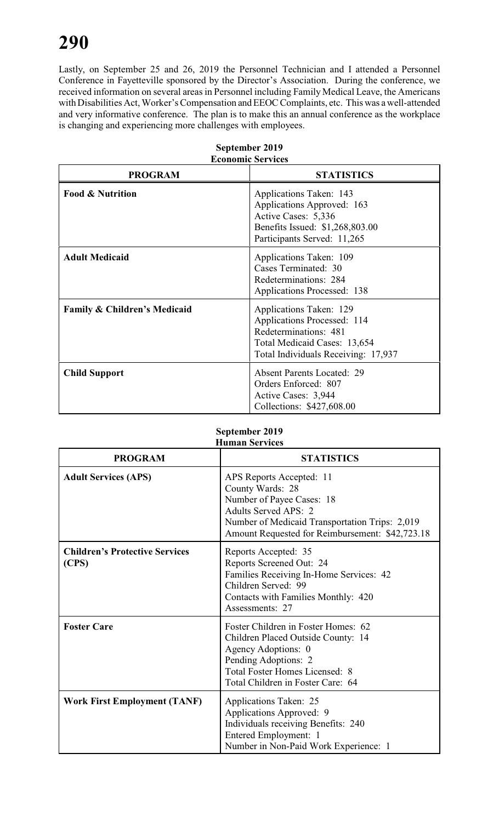Lastly, on September 25 and 26, 2019 the Personnel Technician and I attended a Personnel Conference in Fayetteville sponsored by the Director's Association. During the conference, we received information on several areas in Personnel including Family Medical Leave, the Americans with Disabilities Act, Worker's Compensation and EEOC Complaints, etc. This was a well-attended and very informative conference. The plan is to make this an annual conference as the workplace is changing and experiencing more challenges with employees.

|                                         | есопонне эсі уісея                                                                                                                                     |
|-----------------------------------------|--------------------------------------------------------------------------------------------------------------------------------------------------------|
| <b>PROGRAM</b>                          | <b>STATISTICS</b>                                                                                                                                      |
| <b>Food &amp; Nutrition</b>             | Applications Taken: 143<br>Applications Approved: 163<br>Active Cases: 5,336<br>Benefits Issued: \$1,268,803.00<br>Participants Served: 11,265         |
| <b>Adult Medicaid</b>                   | Applications Taken: 109<br>Cases Terminated: 30<br>Redeterminations: 284<br>Applications Processed: 138                                                |
| <b>Family &amp; Children's Medicaid</b> | Applications Taken: 129<br>Applications Processed: 114<br>Redeterminations: 481<br>Total Medicaid Cases: 13,654<br>Total Individuals Receiving: 17,937 |
| <b>Child Support</b>                    | <b>Absent Parents Located: 29</b><br>Orders Enforced: 807<br>Active Cases: 3,944<br>Collections: \$427,608.00                                          |

### **September 2019 Economic Services**

### **September 2019 Human Services**

| <b>PROGRAM</b>                                 | <b>STATISTICS</b>                                                                                                                                                                                             |
|------------------------------------------------|---------------------------------------------------------------------------------------------------------------------------------------------------------------------------------------------------------------|
| <b>Adult Services (APS)</b>                    | APS Reports Accepted: 11<br>County Wards: 28<br>Number of Payee Cases: 18<br><b>Adults Served APS: 2</b><br>Number of Medicaid Transportation Trips: 2,019<br>Amount Requested for Reimbursement: \$42,723.18 |
| <b>Children's Protective Services</b><br>(CPS) | Reports Accepted: 35<br>Reports Screened Out: 24<br>Families Receiving In-Home Services: 42<br>Children Served: 99<br>Contacts with Families Monthly: 420<br>Assessments: 27                                  |
| <b>Foster Care</b>                             | Foster Children in Foster Homes: 62<br>Children Placed Outside County: 14<br>Agency Adoptions: 0<br>Pending Adoptions: 2<br><b>Total Foster Homes Licensed: 8</b><br>Total Children in Foster Care: 64        |
| <b>Work First Employment (TANF)</b>            | Applications Taken: 25<br>Applications Approved: 9<br>Individuals receiving Benefits: 240<br>Entered Employment: 1<br>Number in Non-Paid Work Experience: 1                                                   |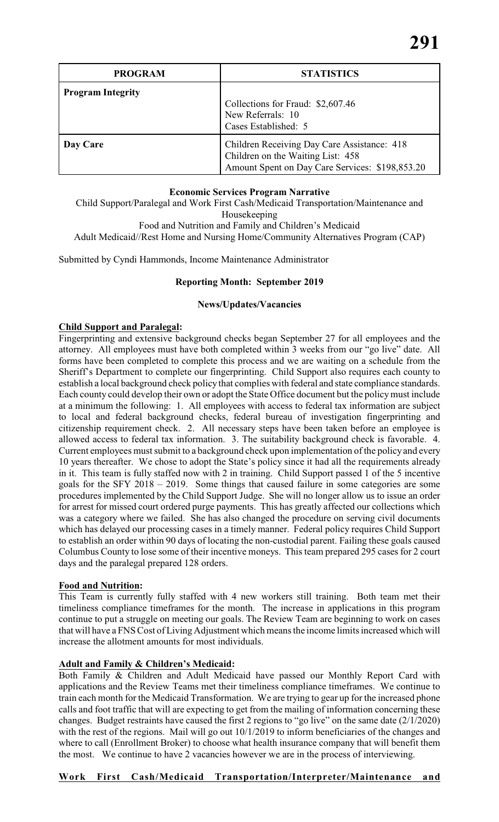| <b>PROGRAM</b>           | <b>STATISTICS</b>                                                                                                                   |
|--------------------------|-------------------------------------------------------------------------------------------------------------------------------------|
| <b>Program Integrity</b> | Collections for Fraud: \$2,607.46<br>New Referrals: 10<br>Cases Established: 5                                                      |
| Day Care                 | Children Receiving Day Care Assistance: 418<br>Children on the Waiting List: 458<br>Amount Spent on Day Care Services: \$198,853.20 |

### **Economic Services Program Narrative**

Child Support/Paralegal and Work First Cash/Medicaid Transportation/Maintenance and Housekeeping Food and Nutrition and Family and Children's Medicaid Adult Medicaid//Rest Home and Nursing Home/Community Alternatives Program (CAP)

Submitted by Cyndi Hammonds, Income Maintenance Administrator

# **Reporting Month: September 2019**

# **News/Updates/Vacancies**

# **Child Support and Paralegal:**

Fingerprinting and extensive background checks began September 27 for all employees and the attorney. All employees must have both completed within 3 weeks from our "go live" date. All forms have been completed to complete this process and we are waiting on a schedule from the Sheriff's Department to complete our fingerprinting. Child Support also requires each county to establish a local background check policy that complies with federal and state compliance standards. Each county could develop their own or adopt the State Office document but the policy must include at a minimum the following: 1. All employees with access to federal tax information are subject to local and federal background checks, federal bureau of investigation fingerprinting and citizenship requirement check. 2. All necessary steps have been taken before an employee is allowed access to federal tax information. 3. The suitability background check is favorable. 4. Current employees must submit to a background check upon implementation of the policyand every 10 years thereafter. We chose to adopt the State's policy since it had all the requirements already in it. This team is fully staffed now with 2 in training. Child Support passed 1 of the 5 incentive goals for the SFY 2018 – 2019. Some things that caused failure in some categories are some procedures implemented by the Child Support Judge. She will no longer allow us to issue an order for arrest for missed court ordered purge payments. This has greatly affected our collections which was a category where we failed. She has also changed the procedure on serving civil documents which has delayed our processing cases in a timely manner. Federal policy requires Child Support to establish an order within 90 days of locating the non-custodial parent. Failing these goals caused Columbus County to lose some of their incentive moneys. This team prepared 295 cases for 2 court days and the paralegal prepared 128 orders.

## **Food and Nutrition:**

This Team is currently fully staffed with 4 new workers still training. Both team met their timeliness compliance timeframes for the month. The increase in applications in this program continue to put a struggle on meeting our goals. The Review Team are beginning to work on cases that will have a FNS Cost ofLiving Adjustment which meansthe income limits increased which will increase the allotment amounts for most individuals.

## **Adult and Family & Children's Medicaid:**

Both Family & Children and Adult Medicaid have passed our Monthly Report Card with applications and the Review Teams met their timeliness compliance timeframes. We continue to train each month for the Medicaid Transformation. We are trying to gear up for the increased phone calls and foot traffic that will are expecting to get from the mailing of information concerning these changes. Budget restraints have caused the first 2 regions to "go live" on the same date  $(2/1/2020)$ with the rest of the regions. Mail will go out  $10/1/2019$  to inform beneficiaries of the changes and where to call (Enrollment Broker) to choose what health insurance company that will benefit them the most. We continue to have 2 vacancies however we are in the process of interviewing.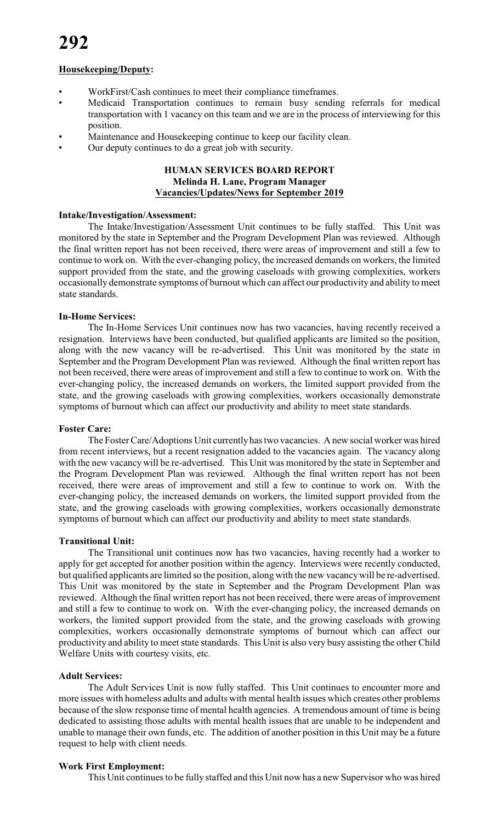### **Housekeeping/Deputy:**

- WorkFirst/Cash continues to meet their compliance timeframes.
- Medicaid Transportation continues to remain busy sending referrals for medical transportation with 1 vacancy on this team and we are in the process of interviewing for this position.
- Maintenance and Housekeeping continue to keep our facility clean.
- Our deputy continues to do a great job with security.

# **HUMAN SERVICES BOARD REPORT Melinda H. Lane, Program Manager Vacancies/Updates/News for September 2019**

### **Intake/Investigation/Assessment:**

The Intake/Investigation/Assessment Unit continues to be fully staffed. This Unit was monitored by the state in September and the Program Development Plan was reviewed. Although the final written report has not been received, there were areas of improvement and still a few to continue to work on. With the ever-changing policy, the increased demands on workers, the limited support provided from the state, and the growing caseloads with growing complexities, workers occasionally demonstrate symptoms of burnout which can affect our productivity and ability to meet state standards.

### **In-Home Services:**

The In-Home Services Unit continues now has two vacancies, having recently received a resignation. Interviews have been conducted, but qualified applicants are limited so the position, along with the new vacancy will be re-advertised. This Unit was monitored by the state in September and the Program Development Plan was reviewed. Although the final written report has not been received, there were areas of improvement and still a few to continue to work on. With the ever-changing policy, the increased demands on workers, the limited support provided from the state, and the growing caseloads with growing complexities, workers occasionally demonstrate symptoms of burnout which can affect our productivity and ability to meet state standards.

### **Foster Care:**

The Foster Care/Adoptions Unit currentlyhas two vacancies. A new social worker was hired from recent interviews, but a recent resignation added to the vacancies again. The vacancy along with the new vacancy will be re-advertised. This Unit was monitored by the state in September and the Program Development Plan was reviewed. Although the final written report has not been received, there were areas of improvement and still a few to continue to work on. With the ever-changing policy, the increased demands on workers, the limited support provided from the state, and the growing caseloads with growing complexities, workers occasionally demonstrate symptoms of burnout which can affect our productivity and ability to meet state standards.

### **Transitional Unit:**

The Transitional unit continues now has two vacancies, having recently had a worker to apply for get accepted for another position within the agency. Interviews were recently conducted, but qualified applicants are limited so the position, along with the new vacancy will be re-advertised. This Unit was monitored by the state in September and the Program Development Plan was reviewed. Although the final written report has not been received, there were areas of improvement and still a few to continue to work on. With the ever-changing policy, the increased demands on workers, the limited support provided from the state, and the growing caseloads with growing complexities, workers occasionally demonstrate symptoms of burnout which can affect our productivity and ability to meet state standards. This Unit is also very busy assisting the other Child Welfare Units with courtesy visits, etc.

## **Adult Services:**

The Adult Services Unit is now fully staffed. This Unit continues to encounter more and more issues with homeless adults and adults with mental health issues which creates other problems because of the slow response time of mental health agencies. A tremendous amount of time is being dedicated to assisting those adults with mental health issues that are unable to be independent and unable to manage their own funds, etc. The addition of another position in this Unit may be a future request to help with client needs.

### **Work First Employment:**

This Unit continues to be fully staffed and this Unit now has a new Supervisor who was hired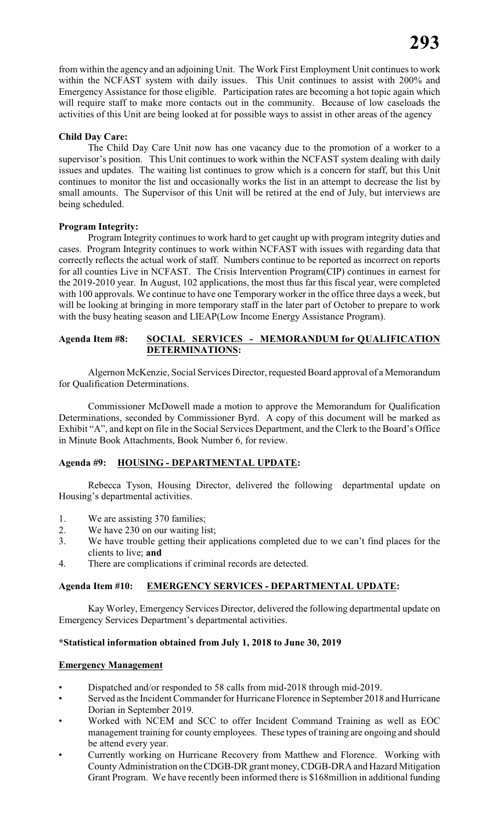from within the agency and an adjoining Unit. The Work First Employment Unit continues to work within the NCFAST system with daily issues. This Unit continues to assist with 200% and Emergency Assistance for those eligible. Participation rates are becoming a hot topic again which will require staff to make more contacts out in the community. Because of low caseloads the activities of this Unit are being looked at for possible ways to assist in other areas of the agency

# **Child Day Care:**

The Child Day Care Unit now has one vacancy due to the promotion of a worker to a supervisor's position. This Unit continues to work within the NCFAST system dealing with daily issues and updates. The waiting list continues to grow which is a concern for staff, but this Unit continues to monitor the list and occasionally works the list in an attempt to decrease the list by small amounts. The Supervisor of this Unit will be retired at the end of July, but interviews are being scheduled.

## **Program Integrity:**

Program Integrity continues to work hard to get caught up with program integrity duties and cases. Program Integrity continues to work within NCFAST with issues with regarding data that correctly reflects the actual work of staff. Numbers continue to be reported as incorrect on reports for all counties Live in NCFAST. The Crisis Intervention Program(CIP) continues in earnest for the 2019-2010 year. In August, 102 applications, the most thus far this fiscal year, were completed with 100 approvals. We continue to have one Temporary worker in the office three days a week, but will be looking at bringing in more temporary staff in the later part of October to prepare to work with the busy heating season and LIEAP(Low Income Energy Assistance Program).

# **Agenda Item #8: SOCIAL SERVICES - MEMORANDUM for QUALIFICATION DETERMINATIONS:**

Algernon McKenzie, Social Services Director, requested Board approval of a Memorandum for Qualification Determinations.

Commissioner McDowell made a motion to approve the Memorandum for Qualification Determinations, seconded by Commissioner Byrd. A copy of this document will be marked as Exhibit "A", and kept on file in the Social Services Department, and the Clerk to the Board's Office in Minute Book Attachments, Book Number 6, for review.

## **Agenda #9: HOUSING - DEPARTMENTAL UPDATE:**

Rebecca Tyson, Housing Director, delivered the following departmental update on Housing's departmental activities.

- 1. We are assisting 370 families;
- 2. We have 230 on our waiting list;
- 3. We have trouble getting their applications completed due to we can't find places for the clients to live; **and**
- 4. There are complications if criminal records are detected.

# **Agenda Item #10: EMERGENCY SERVICES - DEPARTMENTAL UPDATE:**

Kay Worley, Emergency Services Director, delivered the following departmental update on Emergency Services Department's departmental activities.

## **\*Statistical information obtained from July 1, 2018 to June 30, 2019**

## **Emergency Management**

- Dispatched and/or responded to 58 calls from mid-2018 through mid-2019.
- Served as the Incident Commander for Hurricane Florence in September 2018 and Hurricane Dorian in September 2019.
- Worked with NCEM and SCC to offer Incident Command Training as well as EOC management training for county employees. These types of training are ongoing and should be attend every year.
- Currently working on Hurricane Recovery from Matthew and Florence. Working with County Administration on the CDGB-DR grant money, CDGB-DRA and Hazard Mitigation Grant Program. We have recently been informed there is \$168million in additional funding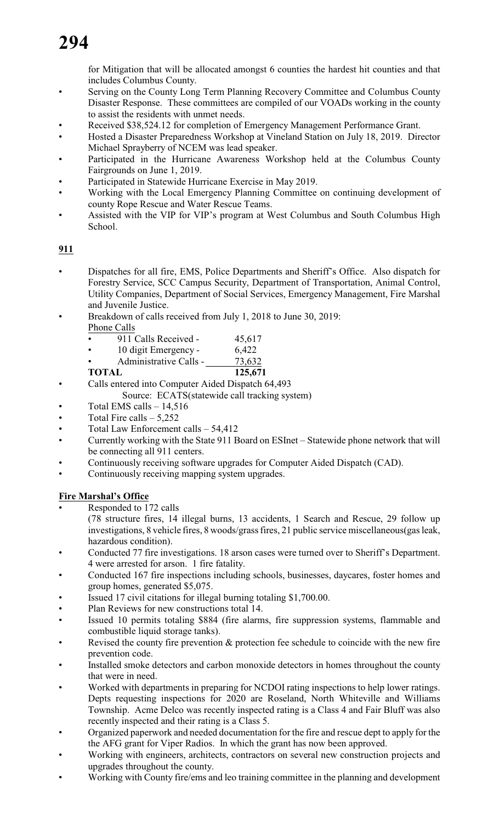for Mitigation that will be allocated amongst 6 counties the hardest hit counties and that includes Columbus County.

- Serving on the County Long Term Planning Recovery Committee and Columbus County Disaster Response. These committees are compiled of our VOADs working in the county to assist the residents with unmet needs.
- Received \$38,524.12 for completion of Emergency Management Performance Grant.
- Hosted a Disaster Preparedness Workshop at Vineland Station on July 18, 2019. Director Michael Sprayberry of NCEM was lead speaker.
- Participated in the Hurricane Awareness Workshop held at the Columbus County Fairgrounds on June 1, 2019.
- Participated in Statewide Hurricane Exercise in May 2019.
- Working with the Local Emergency Planning Committee on continuing development of county Rope Rescue and Water Rescue Teams.
- Assisted with the VIP for VIP's program at West Columbus and South Columbus High School.

# **911**

- Dispatches for all fire, EMS, Police Departments and Sheriff's Office. Also dispatch for Forestry Service, SCC Campus Security, Department of Transportation, Animal Control, Utility Companies, Department of Social Services, Emergency Management, Fire Marshal and Juvenile Justice.
- Breakdown of calls received from July 1, 2018 to June 30, 2019: Phone Calls
	- 911 Calls Received 45,617
	- 10 digit Emergency 6,422
	- Administrative Calls 73,632

# **TOTAL 125,671**

- Calls entered into Computer Aided Dispatch 64,493
	- Source: ECATS(statewide call tracking system)
- Total EMS calls  $-14,516$
- Total Fire calls  $5,252$
- Total Law Enforcement calls 54,412
- Currently working with the State 911 Board on ESInet Statewide phone network that will be connecting all 911 centers.
- Continuously receiving software upgrades for Computer Aided Dispatch (CAD).
- Continuously receiving mapping system upgrades.

# **Fire Marshal's Office**

- Responded to 172 calls
	- (78 structure fires, 14 illegal burns, 13 accidents, 1 Search and Rescue, 29 follow up investigations, 8 vehicle fires, 8 woods/grass fires, 21 public service miscellaneous(gas leak, hazardous condition).
- Conducted 77 fire investigations. 18 arson cases were turned over to Sheriff's Department. 4 were arrested for arson. 1 fire fatality.
- Conducted 167 fire inspections including schools, businesses, daycares, foster homes and group homes, generated \$5,075.
- Issued 17 civil citations for illegal burning totaling \$1,700.00.
- Plan Reviews for new constructions total 14.
- Issued 10 permits totaling \$884 (fire alarms, fire suppression systems, flammable and combustible liquid storage tanks).
- Revised the county fire prevention  $\&$  protection fee schedule to coincide with the new fire prevention code.
- Installed smoke detectors and carbon monoxide detectors in homes throughout the county that were in need.
- Worked with departments in preparing for NCDOI rating inspections to help lower ratings. Depts requesting inspections for 2020 are Roseland, North Whiteville and Williams Township. Acme Delco was recently inspected rating is a Class 4 and Fair Bluff was also recently inspected and their rating is a Class 5.
- Organized paperwork and needed documentation for the fire and rescue dept to apply for the the AFG grant for Viper Radios. In which the grant has now been approved.
- Working with engineers, architects, contractors on several new construction projects and upgrades throughout the county.
- Working with County fire/ems and leo training committee in the planning and development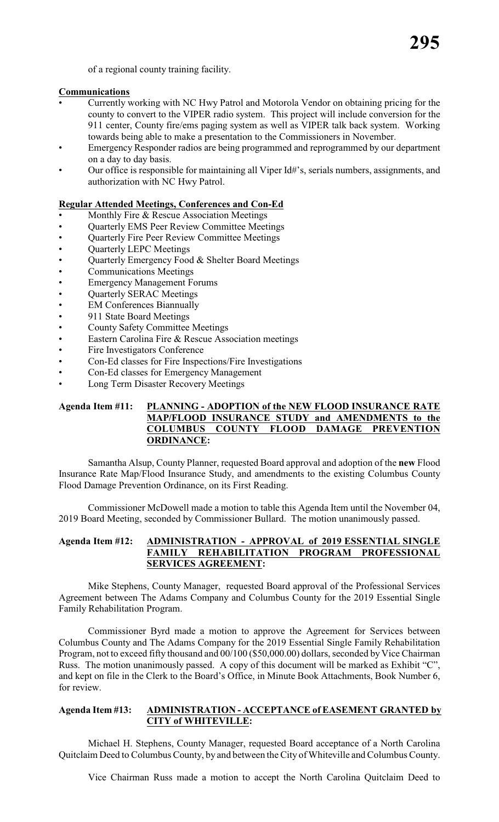of a regional county training facility.

# **Communications**

- Currently working with NC Hwy Patrol and Motorola Vendor on obtaining pricing for the county to convert to the VIPER radio system. This project will include conversion for the 911 center, County fire/ems paging system as well as VIPER talk back system. Working towards being able to make a presentation to the Commissioners in November.
- Emergency Responder radios are being programmed and reprogrammed by our department on a day to day basis.
- Our office is responsible for maintaining all Viper Id#'s, serials numbers, assignments, and authorization with NC Hwy Patrol.

# **Regular Attended Meetings, Conferences and Con-Ed**

- Monthly Fire & Rescue Association Meetings
- Quarterly EMS Peer Review Committee Meetings
- Quarterly Fire Peer Review Committee Meetings
- Quarterly LEPC Meetings
- Quarterly Emergency Food & Shelter Board Meetings
- Communications Meetings
- Emergency Management Forums
- Quarterly SERAC Meetings
- **EM Conferences Biannually**
- 911 State Board Meetings
- County Safety Committee Meetings
- Eastern Carolina Fire & Rescue Association meetings
- Fire Investigators Conference
- Con-Ed classes for Fire Inspections/Fire Investigations
- Con-Ed classes for Emergency Management
- Long Term Disaster Recovery Meetings

### **Agenda Item #11: PLANNING - ADOPTION of the NEW FLOOD INSURANCE RATE MAP/FLOOD INSURANCE STUDY and AMENDMENTS to the COLUMBUS COUNTY FLOOD DAMAGE PREVENTION ORDINANCE:**

Samantha Alsup, County Planner, requested Board approval and adoption of the **new** Flood Insurance Rate Map/Flood Insurance Study, and amendments to the existing Columbus County Flood Damage Prevention Ordinance, on its First Reading.

Commissioner McDowell made a motion to table this Agenda Item until the November 04, 2019 Board Meeting, seconded by Commissioner Bullard. The motion unanimously passed.

### **Agenda Item #12: ADMINISTRATION - APPROVAL of 2019 ESSENTIAL SINGLE FAMILY REHABILITATION PROGRAM PROFESSIONAL SERVICES AGREEMENT:**

Mike Stephens, County Manager, requested Board approval of the Professional Services Agreement between The Adams Company and Columbus County for the 2019 Essential Single Family Rehabilitation Program.

Commissioner Byrd made a motion to approve the Agreement for Services between Columbus County and The Adams Company for the 2019 Essential Single Family Rehabilitation Program, not to exceed fifty thousand and 00/100 (\$50,000.00) dollars, seconded by Vice Chairman Russ. The motion unanimously passed. A copy of this document will be marked as Exhibit "C", and kept on file in the Clerk to the Board's Office, in Minute Book Attachments, Book Number 6, for review.

# **Agenda Item #13: ADMINISTRATION - ACCEPTANCE of EASEMENT GRANTED by CITY of WHITEVILLE:**

Michael H. Stephens, County Manager, requested Board acceptance of a North Carolina Quitclaim Deed to Columbus County, by and between the City of Whiteville and Columbus County.

Vice Chairman Russ made a motion to accept the North Carolina Quitclaim Deed to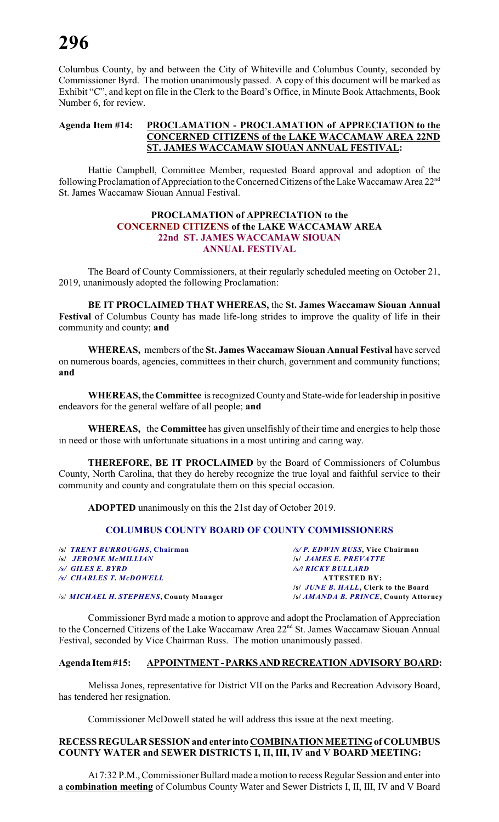Columbus County, by and between the City of Whiteville and Columbus County, seconded by Commissioner Byrd. The motion unanimously passed. A copy of this document will be marked as Exhibit "C", and kept on file in the Clerk to the Board's Office, in Minute Book Attachments, Book Number 6, for review.

### **Agenda Item #14: PROCLAMATION - PROCLAMATION of APPRECIATION to the CONCERNED CITIZENS of the LAKE WACCAMAW AREA 22ND ST. JAMES WACCAMAW SIOUAN ANNUAL FESTIVAL:**

Hattie Campbell, Committee Member, requested Board approval and adoption of the following Proclamation of Appreciation to the Concerned Citizens of the Lake Waccamaw Area 22<sup>nd</sup> St. James Waccamaw Siouan Annual Festival.

### **PROCLAMATION of APPRECIATION to the CONCERNED CITIZENS of the LAKE WACCAMAW AREA 22nd ST. JAMES WACCAMAW SIOUAN ANNUAL FESTIVAL**

The Board of County Commissioners, at their regularly scheduled meeting on October 21, 2019, unanimously adopted the following Proclamation:

**BE IT PROCLAIMED THAT WHEREAS,** the **St. James Waccamaw Siouan Annual Festival** of Columbus County has made life-long strides to improve the quality of life in their community and county; **and**

**WHEREAS,** members of the **St. James Waccamaw Siouan Annual Festival** have served on numerous boards, agencies, committees in their church, government and community functions; **and**

**WHEREAS,** the **Committee** is recognized County and State-wide for leadership in positive endeavors for the general welfare of all people; **and**

**WHEREAS,** the **Committee** has given unselfishly of their time and energies to help those in need or those with unfortunate situations in a most untiring and caring way.

**THEREFORE, BE IT PROCLAIMED** by the Board of Commissioners of Columbus County, North Carolina, that they do hereby recognize the true loyal and faithful service to their community and county and congratulate them on this special occasion.

**ADOPTED** unanimously on this the 21st day of October 2019.

## **COLUMBUS COUNTY BOARD OF COUNTY COMMISSIONERS**

**/s/** *TRENT BURROUGHS***, Chairman** */s/ P. EDWIN RUSS***, Vice Chairman** */s/ <b>JEROME McMILLIAN*<br>**/s/ GILES E. BYRD** */s/ GILES E. BYRD**/s/***/** *RICKY BULLARD /s/ CHARLES T. McDOWELL* **ATTESTED BY: /s/** *JUNE B. HALL***, Clerk to the Board** /s/ *MICHAEL H. STEPHENS***, County Manager /s/** *AMANDA B. PRINCE***, County Attorney**

Commissioner Byrd made a motion to approve and adopt the Proclamation of Appreciation to the Concerned Citizens of the Lake Waccamaw Area 22<sup>nd</sup> St. James Waccamaw Siouan Annual Festival, seconded by Vice Chairman Russ. The motion unanimously passed.

## **Agenda Item #15: APPOINTMENT - PARKS AND RECREATION ADVISORY BOARD:**

Melissa Jones, representative for District VII on the Parks and Recreation Advisory Board, has tendered her resignation.

Commissioner McDowell stated he will address this issue at the next meeting.

## **RECESS REGULAR SESSION and enter into COMBINATION MEETING of COLUMBUS COUNTY WATER and SEWER DISTRICTS I, II, III, IV and V BOARD MEETING:**

At 7:32 P.M., Commissioner Bullard made a motion to recess Regular Session and enter into a **combination meeting** of Columbus County Water and Sewer Districts I, II, III, IV and V Board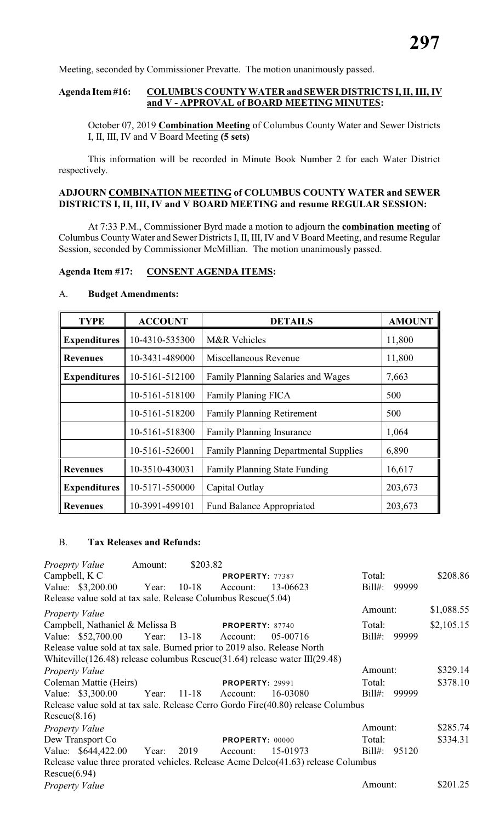Meeting, seconded by Commissioner Prevatte. The motion unanimously passed.

### **Agenda Item #16: COLUMBUS COUNTY WATER and SEWER DISTRICTS I, II, III, IV and V - APPROVAL of BOARD MEETING MINUTES:**

October 07, 2019 **Combination Meeting** of Columbus County Water and Sewer Districts I, II, III, IV and V Board Meeting **(5 sets)**

This information will be recorded in Minute Book Number 2 for each Water District respectively.

## **ADJOURN COMBINATION MEETING of COLUMBUS COUNTY WATER and SEWER DISTRICTS I, II, III, IV and V BOARD MEETING and resume REGULAR SESSION:**

At 7:33 P.M., Commissioner Byrd made a motion to adjourn the **combination meeting** of Columbus CountyWater and Sewer Districts I, II, III, IV and V Board Meeting, and resume Regular Session, seconded by Commissioner McMillian. The motion unanimously passed.

### **Agenda Item #17: CONSENT AGENDA ITEMS:**

### A. **Budget Amendments:**

| <b>TYPE</b>         | <b>ACCOUNT</b> | <b>DETAILS</b>                               | <b>AMOUNT</b> |
|---------------------|----------------|----------------------------------------------|---------------|
| <b>Expenditures</b> | 10-4310-535300 | M&R Vehicles                                 | 11,800        |
| <b>Revenues</b>     | 10-3431-489000 | Miscellaneous Revenue                        | 11,800        |
| <b>Expenditures</b> | 10-5161-512100 | Family Planning Salaries and Wages           | 7,663         |
|                     | 10-5161-518100 | Family Planing FICA                          | 500           |
|                     | 10-5161-518200 | <b>Family Planning Retirement</b>            | 500           |
|                     | 10-5161-518300 | <b>Family Planning Insurance</b>             | 1,064         |
|                     | 10-5161-526001 | <b>Family Planning Departmental Supplies</b> | 6,890         |
| <b>Revenues</b>     | 10-3510-430031 | <b>Family Planning State Funding</b>         | 16,617        |
| <b>Expenditures</b> | 10-5171-550000 | Capital Outlay                               | 203,673       |
| <b>Revenues</b>     | 10-3991-499101 | <b>Fund Balance Appropriated</b>             | 203,673       |

### B. **Tax Releases and Refunds:**

| Proeprty Value                                                                                                                                                  | Amount: | \$203.82    |                        |          |           |       |            |
|-----------------------------------------------------------------------------------------------------------------------------------------------------------------|---------|-------------|------------------------|----------|-----------|-------|------------|
| Campbell, K C                                                                                                                                                   |         |             | <b>PROPERTY: 77387</b> |          | Total:    |       | \$208.86   |
| Value: \$3,200.00                                                                                                                                               | Year:   | $10 - 18$   | Account:               | 13-06623 | $Bill#$ : | 99999 |            |
| Release value sold at tax sale. Release Columbus Rescue(5.04)                                                                                                   |         |             |                        |          |           |       |            |
| <i>Property Value</i>                                                                                                                                           |         |             |                        |          | Amount:   |       | \$1,088.55 |
| Campbell, Nathaniel & Melissa B                                                                                                                                 |         |             | <b>PROPERTY: 87740</b> |          | Total:    |       | \$2,105.15 |
| Value: \$52,700.00 Year: 13-18 Account:                                                                                                                         |         |             |                        | 05-00716 | $Bill#$ : | 99999 |            |
| Release value sold at tax sale. Burned prior to 2019 also. Release North<br>Whiteville $(126.48)$ release columbus Rescue $(31.64)$ release water III $(29.48)$ |         |             |                        |          |           |       |            |
| Property Value                                                                                                                                                  |         |             |                        |          | Amount:   |       | \$329.14   |
| Coleman Mattie (Heirs)                                                                                                                                          |         |             | <b>PROPERTY: 29991</b> |          | Total:    |       | \$378.10   |
| Value: \$3,300.00                                                                                                                                               |         | Year: 11-18 | Account:               | 16-03080 | $Bill#$ : | 99999 |            |
| Release value sold at tax sale. Release Cerro Gordo Fire(40.80) release Columbus                                                                                |         |             |                        |          |           |       |            |
| Rescue(8.16)                                                                                                                                                    |         |             |                        |          |           |       |            |
| <b>Property Value</b>                                                                                                                                           |         |             |                        |          | Amount:   |       | \$285.74   |
| Dew Transport Co.                                                                                                                                               |         |             | <b>PROPERTY: 00000</b> |          | Total:    |       | \$334.31   |
| Value: \$644,422.00                                                                                                                                             | Year:   | 2019        | Account:               | 15-01973 | $Bill#$ : | 95120 |            |
| Release value three prorated vehicles. Release Acme Delco(41.63) release Columbus                                                                               |         |             |                        |          |           |       |            |
| Rescue(6.94)                                                                                                                                                    |         |             |                        |          |           |       |            |
| Property Value                                                                                                                                                  |         |             |                        |          | Amount:   |       | \$201.25   |
|                                                                                                                                                                 |         |             |                        |          |           |       |            |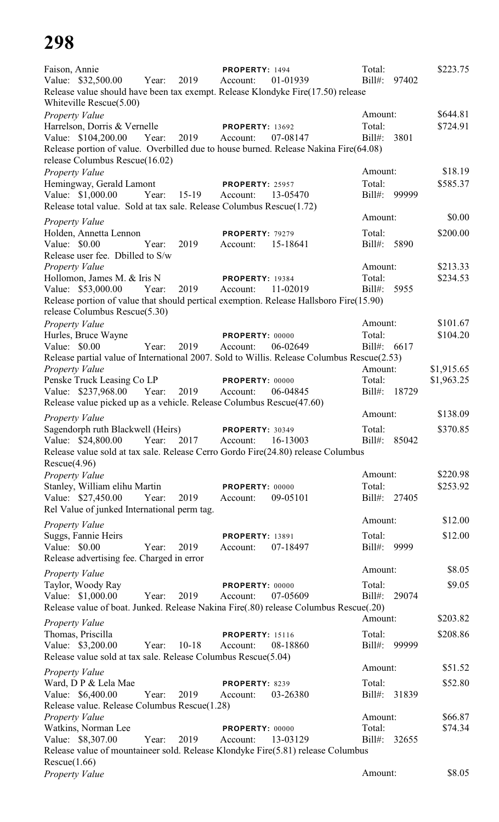| Faison, Annie<br>Value: \$32,500.00<br>Release value should have been tax exempt. Release Klondyke Fire(17.50) release<br>Whiteville Rescue(5.00)                                                            | 2019<br>Year:    | PROPERTY: 1494<br>Account:         | 01-01939 | Total:<br>$Bill#$ :               | 97402 | \$223.75                 |
|--------------------------------------------------------------------------------------------------------------------------------------------------------------------------------------------------------------|------------------|------------------------------------|----------|-----------------------------------|-------|--------------------------|
| <b>Property Value</b><br>Harrelson, Dorris & Vernelle<br>Value: \$104,200.00 Year:<br>Release portion of value. Overbilled due to house burned. Release Nakina Fire(64.08)<br>release Columbus Rescue(16.02) | 2019             | <b>PROPERTY: 13692</b><br>Account: | 07-08147 | Amount:<br>Total:<br>$Bill#$ :    | 3801  | \$644.81<br>\$724.91     |
| Property Value<br>Hemingway, Gerald Lamont<br>Value: \$1,000.00                                                                                                                                              | Year:<br>$15-19$ | <b>PROPERTY: 25957</b><br>Account: | 13-05470 | Amount:<br>Total:<br>Bill#: 99999 |       | \$18.19<br>\$585.37      |
| Release total value. Sold at tax sale. Release Columbus Rescue(1.72)                                                                                                                                         |                  |                                    |          | Amount:                           |       | \$0.00                   |
| <b>Property Value</b><br>Holden, Annetta Lennon<br>Value: \$0.00                                                                                                                                             | Year:<br>2019    | PROPERTY: 79279<br>Account:        | 15-18641 | Total:<br>Bill#: 5890             |       | \$200.00                 |
| Release user fee. Dbilled to S/w<br>Property Value<br>Hollomon, James M. & Iris N                                                                                                                            |                  | <b>PROPERTY: 19384</b>             |          | Amount:<br>Total:                 |       | \$213.33<br>\$234.53     |
| Value: \$53,000.00<br>Release portion of value that should pertical exemption. Release Hallsboro Fire(15.90)                                                                                                 | 2019<br>Year:    | Account:                           | 11-02019 | Bill#:                            | 5955  |                          |
| release Columbus Rescue(5.30)<br>Property Value<br>Hurles, Bruce Wayne                                                                                                                                       |                  | PROPERTY: 00000                    |          | Amount:<br>Total:                 |       | \$101.67<br>\$104.20     |
| Value: \$0.00<br>Release partial value of International 2007. Sold to Willis. Release Columbus Rescue(2.53)                                                                                                  | Year:<br>2019    | Account:                           | 06-02649 | Bill#: 6617<br>Amount:            |       |                          |
| Property Value<br>Penske Truck Leasing Co LP<br>Value: \$237,968.00 Year: 2019<br>Release value picked up as a vehicle. Release Columbus Rescue(47.60)                                                       |                  | PROPERTY: 00000<br>Account:        | 06-04845 | Total:<br>Bill#: 18729            |       | \$1,915.65<br>\$1,963.25 |
| <b>Property Value</b>                                                                                                                                                                                        |                  |                                    |          | Amount:                           |       | \$138.09                 |
| Sagendorph ruth Blackwell (Heirs)<br>Value: \$24,800.00<br>Release value sold at tax sale. Release Cerro Gordo Fire(24.80) release Columbus<br>Rescue(4.96)                                                  | 2017<br>Year:    | <b>PROPERTY: 30349</b><br>Account: | 16-13003 | Total:<br>$Bill#$ :               | 85042 | \$370.85                 |
| <b>Property Value</b><br>Stanley, William elihu Martin<br>Value: \$27,450.00                                                                                                                                 | 2019<br>Year:    | PROPERTY: 00000<br>Account:        | 09-05101 | Amount:<br>Total:<br>Bill#: 27405 |       | \$220.98<br>\$253.92     |
| Rel Value of junked International perm tag.                                                                                                                                                                  |                  |                                    |          | Amount:                           |       | \$12.00                  |
| <b>Property Value</b><br>Suggs, Fannie Heirs<br>Value: \$0.00                                                                                                                                                | 2019<br>Year:    | <b>PROPERTY: 13891</b><br>Account: | 07-18497 | Total:<br>$Bill#$ :               | 9999  | \$12.00                  |
| Release advertising fee. Charged in error                                                                                                                                                                    |                  |                                    |          | Amount:                           |       | \$8.05                   |
| Property Value<br>Taylor, Woody Ray<br>Value: \$1,000.00<br>Release value of boat. Junked. Release Nakina Fire(.80) release Columbus Rescue(.20)                                                             | 2019<br>Year:    | PROPERTY: 00000<br>Account:        | 07-05609 | Total:<br>$Bill#$ :               | 29074 | \$9.05                   |
| <b>Property Value</b>                                                                                                                                                                                        |                  |                                    |          | Amount:                           |       | \$203.82                 |
| Thomas, Priscilla<br>Value: \$3,200.00<br>Release value sold at tax sale. Release Columbus Rescue(5.04)                                                                                                      | $10-18$<br>Year: | <b>PROPERTY: 15116</b><br>Account: | 08-18860 | Total:<br>$Bill#$ :               | 99999 | \$208.86                 |
| <b>Property Value</b>                                                                                                                                                                                        |                  |                                    |          | Amount:                           |       | \$51.52                  |
| Ward, D P & Lela Mae<br>Value: \$6,400.00<br>Release value. Release Columbus Rescue(1.28)                                                                                                                    | 2019<br>Year:    | PROPERTY: 8239<br>Account:         | 03-26380 | Total:<br>Bill#: 31839            |       | \$52.80                  |
| <b>Property Value</b><br>Watkins, Norman Lee<br>Value: \$8,307.00                                                                                                                                            | 2019<br>Year:    | PROPERTY: 00000<br>Account:        | 13-03129 | Amount:<br>Total:<br>$Bill#$ :    | 32655 | \$66.87<br>\$74.34       |
| Release value of mountaineer sold. Release Klondyke Fire(5.81) release Columbus<br>Rescue(1.66)<br>Property Value                                                                                            |                  |                                    |          | Amount:                           |       | \$8.05                   |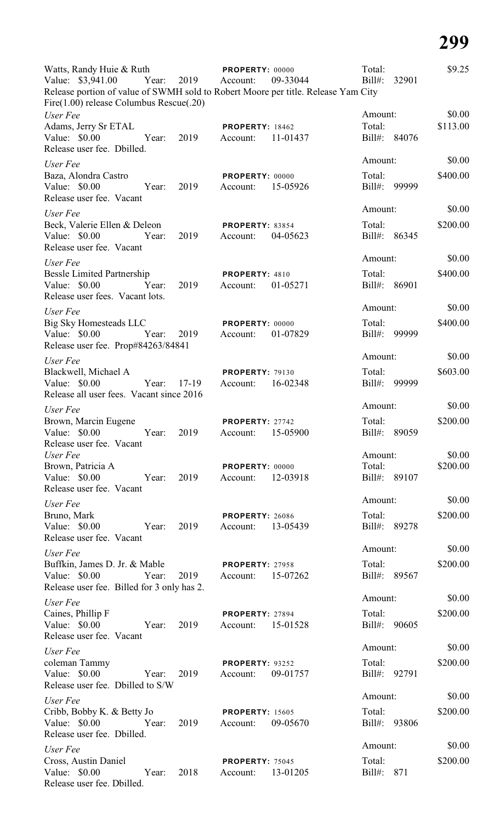| Watts, Randy Huie & Ruth                                                                                                           | PROPERTY: 00000                                | Total:                 | \$9.25   |
|------------------------------------------------------------------------------------------------------------------------------------|------------------------------------------------|------------------------|----------|
| Value: \$3,941.00<br>Year: 2019                                                                                                    | Account:<br>09-33044                           | $Bill#$ :<br>32901     |          |
| Release portion of value of SWMH sold to Robert Moore per title. Release Yam City<br>Fire $(1.00)$ release Columbus Rescue $(.20)$ |                                                |                        |          |
| User Fee                                                                                                                           |                                                | Amount:                | \$0.00   |
| Adams, Jerry Sr ETAL                                                                                                               | <b>PROPERTY: 18462</b>                         | Total:                 | \$113.00 |
| Value: \$0.00<br>Year:<br>2019<br>Release user fee. Dbilled.                                                                       | 11-01437<br>Account:                           | Bill#: 84076           |          |
| User Fee                                                                                                                           |                                                | Amount:                | \$0.00   |
| Baza, Alondra Castro                                                                                                               | PROPERTY: 00000                                | Total:                 | \$400.00 |
| Value: $$0.00$<br>2019<br>Year:<br>Release user fee. Vacant                                                                        | 15-05926<br>Account:                           | $Bill#$ :<br>99999     |          |
| User Fee                                                                                                                           |                                                | Amount:                | \$0.00   |
| Beck, Valerie Ellen & Deleon                                                                                                       | <b>PROPERTY: 83854</b>                         | Total:                 | \$200.00 |
| 2019<br>Value: \$0.00<br>Year:<br>Release user fee. Vacant                                                                         | 04-05623<br>Account:                           | Bill#: 86345           |          |
| User Fee                                                                                                                           |                                                | Amount:                | \$0.00   |
| <b>Bessle Limited Partnership</b>                                                                                                  | PROPERTY: 4810                                 | Total:                 | \$400.00 |
| Value: \$0.00<br>Year:<br>2019<br>Release user fees. Vacant lots.                                                                  | 01-05271<br>Account:                           | Bill#: 86901           |          |
| User Fee                                                                                                                           |                                                | Amount:                | \$0.00   |
| Big Sky Homesteads LLC                                                                                                             | PROPERTY: 00000                                | Total:                 | \$400.00 |
| Year:<br>Value: $$0.00$<br>2019                                                                                                    | 01-07829<br>Account:                           | Bill#: 99999           |          |
| Release user fee. Prop#84263/84841                                                                                                 |                                                | Amount:                | \$0.00   |
| User Fee<br>Blackwell, Michael A                                                                                                   | <b>PROPERTY: 79130</b>                         | Total:                 | \$603.00 |
| Value: \$0.00<br>17-19<br>Year:                                                                                                    | 16-02348<br>Account:                           | Bill#: 99999           |          |
| Release all user fees. Vacant since 2016                                                                                           |                                                |                        |          |
| User Fee                                                                                                                           |                                                | Amount:                | \$0.00   |
| Brown, Marcin Eugene                                                                                                               | PROPERTY: 27742                                | Total:                 | \$200.00 |
| Value: \$0.00<br>Year:<br>2019<br>Release user fee. Vacant                                                                         | 15-05900<br>Account:                           | Bill#: 89059           |          |
| User Fee                                                                                                                           |                                                | Amount:                | \$0.00   |
| Brown, Patricia A                                                                                                                  | PROPERTY: 00000                                | Total:                 | \$200.00 |
| Value: \$0.00<br>2019<br>Year:                                                                                                     | 12-03918<br>Account:                           | Bill#: 89107           |          |
| Release user fee. Vacant                                                                                                           |                                                |                        | \$0.00   |
| User Fee                                                                                                                           |                                                | Amount:                |          |
| Bruno, Mark<br>Value: \$0.00<br>2019<br>Year:                                                                                      | <b>PROPERTY: 26086</b><br>13-05439<br>Account: | Total:<br>Bill#: 89278 | \$200.00 |
| Release user fee. Vacant                                                                                                           |                                                |                        |          |
| User Fee                                                                                                                           |                                                | Amount:                | \$0.00   |
| Buffkin, James D. Jr. & Mable                                                                                                      | PROPERTY: 27958                                | Total:                 | \$200.00 |
| Value: \$0.00<br>Year:<br>2019                                                                                                     | Account: 15-07262                              | Bill#: 89567           |          |
| Release user fee. Billed for 3 only has 2.                                                                                         |                                                |                        |          |
| User Fee                                                                                                                           |                                                | Amount:                | \$0.00   |
| Caines, Phillip F                                                                                                                  | PROPERTY: 27894                                | Total:                 | \$200.00 |
| Value: \$0.00<br>2019<br>Year:<br>Release user fee. Vacant                                                                         | Account: 15-01528                              | Bill#: 90605           |          |
| User Fee                                                                                                                           |                                                | Amount:                | \$0.00   |
| coleman Tammy                                                                                                                      | <b>PROPERTY: 93252</b>                         | Total:                 | \$200.00 |
| 2019<br>Value: $$0.00$<br>Year:                                                                                                    | 09-01757<br>Account:                           | Bill#: 92791           |          |
| Release user fee. Dbilled to S/W                                                                                                   |                                                |                        |          |
| User Fee                                                                                                                           |                                                | Amount:                | \$0.00   |
| Cribb, Bobby K. & Betty Jo                                                                                                         | <b>PROPERTY: 15605</b>                         | Total:                 | \$200.00 |
| Value: \$0.00<br>2019<br>Year:<br>Release user fee. Dbilled.                                                                       | 09-05670<br>Account:                           | Bill#: 93806           |          |
| User Fee                                                                                                                           |                                                | Amount:                | \$0.00   |
| Cross, Austin Daniel                                                                                                               | PROPERTY: 75045                                | Total:                 | \$200.00 |
| Value: \$0.00 Year:<br>2018                                                                                                        | 13-01205<br>Account:                           | Bill#:<br>871          |          |
| Release user fee. Dbilled.                                                                                                         |                                                |                        |          |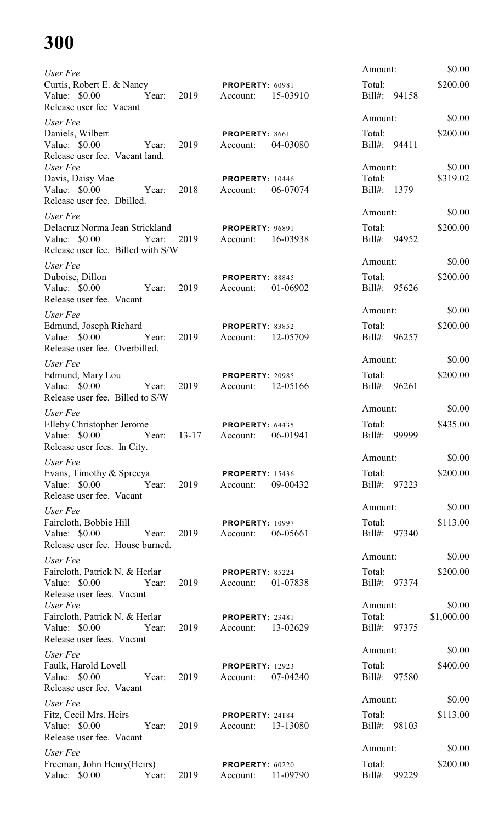| User Fee                                                                                                   |            |      |                                             |          | Amount:                           | \$0.00             |
|------------------------------------------------------------------------------------------------------------|------------|------|---------------------------------------------|----------|-----------------------------------|--------------------|
| Curtis, Robert E. & Nancy<br>Value: \$0.00<br>Release user fee Vacant                                      | Year:      | 2019 | <b>PROPERTY: 60981</b><br>Account:          | 15-03910 | Total:<br>Bill#: 94158            | \$200.00           |
| User Fee<br>Daniels, Wilbert<br>Value: \$0.00                                                              | Year:      | 2019 | PROPERTY: 8661<br>Account:                  | 04-03080 | Amount:<br>Total:<br>Bill#: 94411 | \$0.00<br>\$200.00 |
| Release user fee. Vacant land.<br>User Fee<br>Davis, Daisy Mae                                             |            |      | <b>PROPERTY: 10446</b>                      |          | Amount:<br>Total:                 | \$0.00<br>\$319.02 |
| Value: \$0.00 Year:<br>Release user fee. Dbilled.                                                          |            | 2018 | Account:                                    | 06-07074 | Bill#: 1379                       |                    |
| User Fee<br>Delacruz Norma Jean Strickland<br>Value: \$0.00<br>Release user fee. Billed with S/W           | Year:      | 2019 | <b>PROPERTY: 96891</b><br>Account:          | 16-03938 | Amount:<br>Total:<br>Bill#: 94952 | \$0.00<br>\$200.00 |
| User Fee                                                                                                   |            |      |                                             |          | Amount:                           | \$0.00             |
| Duboise, Dillon<br>Value: \$0.00<br>Release user fee. Vacant                                               | Year:      | 2019 | PROPERTY: 88845<br>Account:                 | 01-06902 | Total:<br>Bill#: 95626            | \$200.00           |
| User Fee                                                                                                   |            |      |                                             |          | Amount:                           | \$0.00             |
| Edmund, Joseph Richard<br>Value: $$0.00$<br>Release user fee. Overbilled.                                  | Year:      | 2019 | PROPERTY: 83852<br>Account:                 | 12-05709 | Total:<br>Bill#: 96257            | \$200.00           |
| User Fee                                                                                                   |            |      |                                             |          | Amount:                           | \$0.00             |
| Edmund, Mary Lou<br>Value: \$0.00<br>Release user fee. Billed to S/W                                       | Year:      | 2019 | <b>PROPERTY: 20985</b><br>Account:          | 12-05166 | Total:<br>Bill#: 96261            | \$200.00           |
| User Fee                                                                                                   |            |      |                                             |          | Amount:                           | \$0.00             |
| Elleby Christopher Jerome<br>Value: \$0.00 Year: 13-17 Account: 06-01941<br>Release user fees. In City.    |            |      | PROPERTY: 64435                             |          | Total:<br>Bill#: 99999            | \$435.00           |
| User Fee                                                                                                   |            |      |                                             |          | Amount:                           | \$0.00             |
| Evans, Timothy & Spreeya<br>Value: \$0.00 		 Year: 2019 		 Account: 09-00432<br>Release user fee. Vacant   |            |      | <b>PROPERTY: 15436</b>                      |          | Total:<br>Bill#: 97223            | \$200.00           |
| User Fee                                                                                                   |            |      |                                             |          | Amount:                           | \$0.00             |
| Faircloth, Bobbie Hill<br>Value: \$0.00 Year: 2019<br>Release user fee. House burned.                      |            |      | PROPERTY: 10997<br>Account: 06-05661        |          | Total:<br>Bill#: 97340            | \$113.00           |
| User Fee                                                                                                   |            |      |                                             |          | Amount:                           | \$0.00             |
| Faircloth, Patrick N. & Herlar <b>PROPERTY</b> : 85224<br>Value: \$0.00 Year:<br>Release user fees. Vacant |            |      | 2019 Account: 01-07838                      |          | Total:<br>Bill#: 97374            | \$200.00           |
| User Fee                                                                                                   |            |      |                                             |          | Amount:                           | \$0.00             |
| Faircloth, Patrick N. & Herlar<br>Value: \$0.00<br>Release user fees. Vacant                               | Year:      | 2019 | <b>PROPERTY: 23481</b><br>Account: 13-02629 |          | Total:<br>Bill#: 97375            | \$1,000.00         |
| User Fee                                                                                                   |            |      |                                             |          | Amount:                           | \$0.00             |
| Faulk, Harold Lovell<br>Value: $$0.00$<br>Release user fee. Vacant                                         | Year:      | 2019 | <b>PROPERTY: 12923</b><br>Account:          | 07-04240 | Total:<br>Bill#: 97580            | \$400.00           |
| User Fee                                                                                                   |            |      |                                             |          | Amount:                           | \$0.00             |
| Fitz, Cecil Mrs. Heirs<br>Value: $$0.00$<br>Release user fee. Vacant                                       | Year: 2019 |      | <b>PROPERTY: 24184</b><br>Account: 13-13080 |          | Total:<br>Bill#: 98103            | \$113.00           |
| User Fee                                                                                                   |            |      |                                             |          | Amount:                           | \$0.00             |
| Freeman, John Henry(Heirs)<br>Value: \$0.00 Year:                                                          |            | 2019 | <b>PROPERTY: 60220</b><br>Account:          | 11-09790 | Total:<br>Bill#: 99229            | \$200.00           |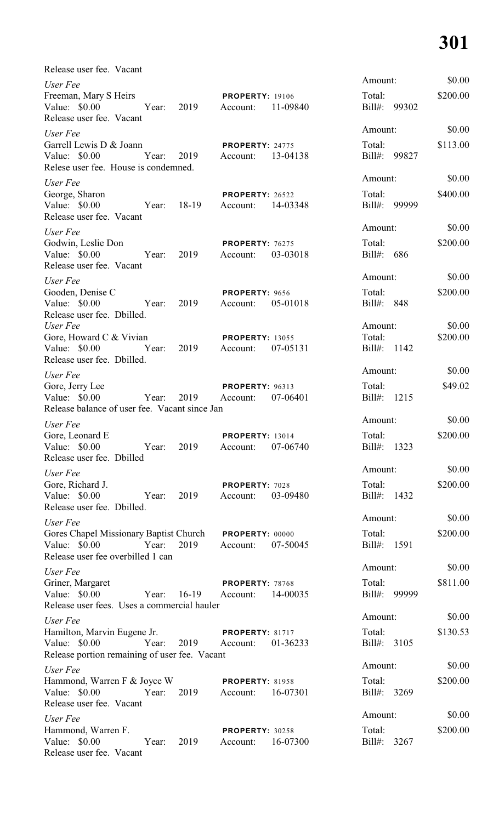| Release user fee. Vacant<br>User Fee                                                                    |             |                                    |          | Amount:                          | \$0.00             |
|---------------------------------------------------------------------------------------------------------|-------------|------------------------------------|----------|----------------------------------|--------------------|
| Freeman, Mary S Heirs<br>Value: $$0.00$<br>Release user fee. Vacant                                     | Year: 2019  | <b>PROPERTY: 19106</b><br>Account: | 11-09840 | Total:<br>Bill#: 99302           | \$200.00           |
| User Fee                                                                                                |             |                                    |          | Amount:                          | \$0.00             |
| Garrell Lewis D & Joann<br>Value: \$0.00<br>Year:<br>Relese user fee. House is condemned.               | 2019        | <b>PROPERTY: 24775</b><br>Account: | 13-04138 | Total:<br>Bill#: 99827           | \$113.00           |
| User Fee                                                                                                |             |                                    |          | Amount:                          | \$0.00             |
| George, Sharon<br>Value: \$0.00<br>Release user fee. Vacant                                             | Year: 18-19 | <b>PROPERTY: 26522</b><br>Account: | 14-03348 | Total:<br>Bill#: 99999           | \$400.00           |
| User Fee                                                                                                |             |                                    |          | Amount:                          | \$0.00             |
| Godwin, Leslie Don<br>Value: \$0.00<br>Year:<br>Release user fee. Vacant                                | 2019        | <b>PROPERTY: 76275</b><br>Account: | 03-03018 | Total:<br>Bill#: 686             | \$200.00           |
| User Fee                                                                                                |             |                                    |          | Amount:                          | \$0.00             |
| Gooden, Denise C<br>Value: \$0.00<br>Year:<br>Release user fee. Dbilled.                                | 2019        | PROPERTY: 9656<br>Account:         | 05-01018 | Total:<br>Bill#: 848             | \$200.00           |
| User Fee<br>Gore, Howard C & Vivian<br>Value: \$0.00<br>Year:                                           | 2019        | <b>PROPERTY: 13055</b><br>Account: | 07-05131 | Amount:<br>Total:<br>Bill#: 1142 | \$0.00<br>\$200.00 |
| Release user fee. Dbilled.                                                                              |             |                                    |          | Amount:                          | \$0.00             |
| User Fee<br>Gore, Jerry Lee<br>Value: $$0.00$<br>Year:<br>Release balance of user fee. Vacant since Jan | 2019        | <b>PROPERTY: 96313</b><br>Account: | 07-06401 | Total:<br>Bill#: 1215            | \$49.02            |
| User Fee                                                                                                |             |                                    |          | Amount:                          | \$0.00             |
| Gore, Leonard E<br>Value: $$0.00$<br>Year:<br>Release user fee. Dbilled                                 | 2019        | <b>PROPERTY: 13014</b><br>Account: | 07-06740 | Total:<br>Bill#: 1323            | \$200.00           |
| User Fee                                                                                                |             |                                    |          | Amount:                          | \$0.00             |
| Gore, Richard J.<br>Value: \$0.00<br>Year:<br>Release user fee. Dbilled.                                | 2019        | PROPERTY: 7028<br>Account:         | 03-09480 | Total:<br>$Bill#$ :<br>1432      | \$200.00           |
| User Fee                                                                                                |             |                                    |          | Amount:                          | \$0.00             |
| Gores Chapel Missionary Baptist Church<br>Value: \$0.00<br>Year:<br>Release user fee overbilled 1 can   | 2019        | PROPERTY: 00000<br>Account:        | 07-50045 | Total:<br>Bill#:<br>1591         | \$200.00           |
| User Fee                                                                                                |             |                                    |          | Amount:                          | \$0.00             |
| Griner, Margaret<br>Value: \$0.00<br>Year:<br>Release user fees. Uses a commercial hauler               | $16-19$     | PROPERTY: 78768<br>Account:        | 14-00035 | Total:<br>Bill#: 99999           | \$811.00           |
| User Fee                                                                                                |             |                                    |          | Amount:                          | \$0.00             |
| Hamilton, Marvin Eugene Jr.<br>Value: $$0.00$<br>Year:<br>Release portion remaining of user fee. Vacant | 2019        | <b>PROPERTY: 81717</b><br>Account: | 01-36233 | Total:<br>Bill#: 3105            | \$130.53           |
| User Fee                                                                                                |             |                                    |          | Amount:                          | \$0.00             |
| Hammond, Warren F & Joyce W<br>Value: $$0.00$<br>Year:<br>Release user fee. Vacant                      | 2019        | <b>PROPERTY: 81958</b><br>Account: | 16-07301 | Total:<br>Bill#: 3269            | \$200.00           |
| User Fee                                                                                                |             |                                    |          | Amount:                          | \$0.00             |
| Hammond, Warren F.<br>Value: \$0.00<br>Year:<br>Release user fee. Vacant                                | 2019        | PROPERTY: 30258<br>Account:        | 16-07300 | Total:<br>Bill#: 3267            | \$200.00           |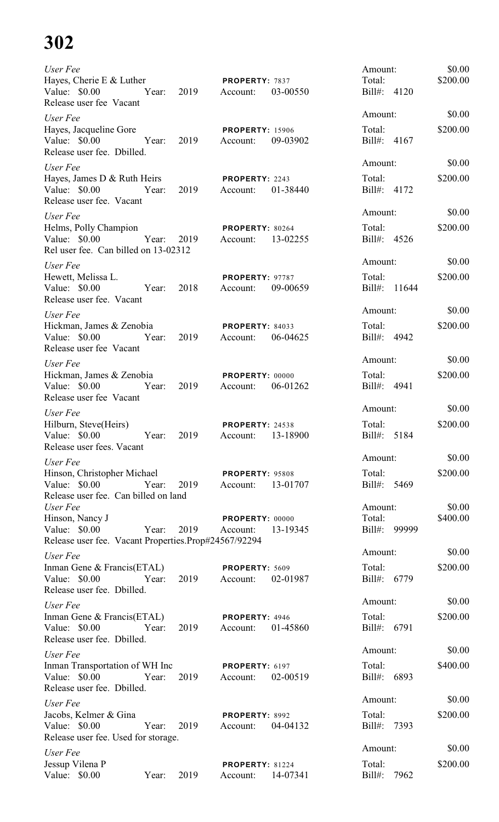| User Fee<br>Hayes, Cherie E & Luther<br>Value: $$0.00$<br>Release user fee Vacant                                     | Year: 2019 | PROPERTY: 7837<br>Account:         | 03-00550 | Amount:<br>Total:<br>Bill#: 4120                  | \$0.00<br>\$200.00           |
|-----------------------------------------------------------------------------------------------------------------------|------------|------------------------------------|----------|---------------------------------------------------|------------------------------|
| User Fee<br>Hayes, Jacqueline Gore<br>Value: \$0.00<br>Year:<br>Release user fee. Dbilled.                            | 2019       | <b>PROPERTY: 15906</b><br>Account: | 09-03902 | Amount:<br>Total:<br>Bill#: 4167                  | \$0.00<br>\$200.00           |
| User Fee<br>Hayes, James D & Ruth Heirs<br>Value: \$0.00 Year:<br>Release user fee. Vacant                            | 2019       | PROPERTY: 2243<br>Account:         | 01-38440 | Amount:<br>Total:<br>Bill#: 4172                  | \$0.00<br>\$200.00           |
| User Fee<br>Helms, Polly Champion<br>Value: \$0.00 Year:<br>Rel user fee. Can billed on 13-02312                      | 2019       | PROPERTY: 80264<br>Account:        | 13-02255 | Amount:<br>Total:<br>Bill#: 4526                  | \$0.00<br>\$200.00           |
| User Fee<br>Hewett, Melissa L.<br>Value: \$0.00 Year:<br>Release user fee. Vacant                                     | 2018       | <b>PROPERTY: 97787</b><br>Account: | 09-00659 | Amount:<br>Total:<br>Bill#: 11644                 | \$0.00<br>\$200.00           |
| User Fee<br>Hickman, James & Zenobia<br>Value: $$0.00$<br>Year:<br>Release user fee Vacant                            | 2019       | <b>PROPERTY: 84033</b><br>Account: | 06-04625 | Amount:<br>Total:<br>Bill#: 4942                  | \$0.00<br>\$200.00           |
| User Fee<br>Hickman, James & Zenobia<br>Value: \$0.00<br>Year:<br>Release user fee Vacant                             | 2019       | <b>PROPERTY: 00000</b><br>Account: | 06-01262 | Amount:<br>Total:<br>Bill#: 4941                  | \$0.00<br>\$200.00           |
| User Fee<br>Hilburn, Steve(Heirs)<br>Value: \$0.00<br>Year:<br>Release user fees. Vacant                              | 2019       | PROPERTY: 24538<br>Account:        | 13-18900 | Amount:<br>Total:<br>$Bill#$ :<br>5184            | \$0.00<br>\$200.00           |
| User Fee<br>Hinson, Christopher Michael<br>Value: \$0.00<br>Year:<br>Release user fee. Can billed on land<br>User Fee | 2019       | <b>PROPERTY: 95808</b><br>Account: | 13-01707 | Amount:<br>Total:<br>$Bill#$ :<br>5469<br>Amount: | \$0.00<br>\$200.00<br>\$0.00 |
| Hinson, Nancy J<br>Year:<br>Value: $$0.00$<br>Release user fee. Vacant Properties.Prop#24567/92294                    | 2019       | PROPERTY: 00000<br>Account:        | 13-19345 | Total:<br>$Bill#$ :<br>99999                      | \$400.00                     |
| User Fee<br>Inman Gene & Francis(ETAL)<br>Value: $$0.00$<br>Year:<br>Release user fee. Dbilled.                       | 2019       | PROPERTY: 5609<br>Account:         | 02-01987 | Amount:<br>Total:<br>Bill#: 6779                  | \$0.00<br>\$200.00           |
| User Fee<br>Inman Gene & Francis(ETAL)<br>Value: \$0.00<br>Year:<br>Release user fee. Dbilled.                        | 2019       | PROPERTY: 4946<br>Account:         | 01-45860 | Amount:<br>Total:<br>Bill#: 6791                  | \$0.00<br>\$200.00           |
| User Fee<br>Inman Transportation of WH Inc<br>Value: \$0.00<br>Year:<br>Release user fee. Dbilled.                    | 2019       | PROPERTY: 6197<br>Account:         | 02-00519 | Amount:<br>Total:<br>Bill#: 6893                  | \$0.00<br>\$400.00           |
| User Fee<br>Jacobs, Kelmer & Gina<br>Value: \$0.00<br>Year:<br>Release user fee. Used for storage.                    | 2019       | PROPERTY: 8992<br>Account:         | 04-04132 | Amount:<br>Total:<br>Bill#: 7393                  | \$0.00<br>\$200.00           |
| User Fee<br>Jessup Vilena P<br>Value: \$0.00<br>Year:                                                                 | 2019       | <b>PROPERTY: 81224</b><br>Account: | 14-07341 | Amount:<br>Total:<br>7962<br>$Bill#$ :            | \$0.00<br>\$200.00           |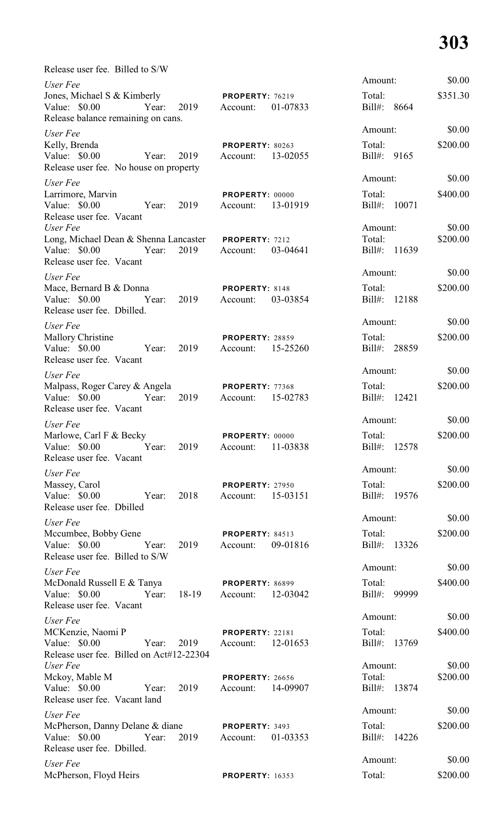| Release user fee. Billed to S/W                                                                                  |                                                |                                        |                    |
|------------------------------------------------------------------------------------------------------------------|------------------------------------------------|----------------------------------------|--------------------|
| User Fee<br>Jones, Michael S & Kimberly<br>Value: \$0.00<br>Year:<br>2019<br>Release balance remaining on cans.  | <b>PROPERTY: 76219</b><br>01-07833<br>Account: | Amount:<br>Total:<br>$Bill#$ :<br>8664 | \$0.00<br>\$351.30 |
| User Fee<br>Kelly, Brenda<br>Value: $$0.00$<br>2019<br>Year:<br>Release user fee. No house on property           | PROPERTY: 80263<br>13-02055<br>Account:        | Amount:<br>Total:<br>Bill#: 9165       | \$0.00<br>\$200.00 |
| User Fee<br>Larrimore, Marvin<br>Value: \$0.00<br>2019<br>Year:<br>Release user fee. Vacant                      | PROPERTY: 00000<br>13-01919<br>Account:        | Amount:<br>Total:<br>Bill#:<br>10071   | \$0.00<br>\$400.00 |
| User Fee<br>Long, Michael Dean & Shenna Lancaster<br>Value: $$0.00$<br>Year:<br>2019<br>Release user fee. Vacant | PROPERTY: 7212<br>03-04641<br>Account:         | Amount:<br>Total:<br>Bill#: 11639      | \$0.00<br>\$200.00 |
| User Fee<br>Mace, Bernard B & Donna<br>2019<br>Value: $$0.00$<br>Year:<br>Release user fee. Dbilled.             | PROPERTY: 8148<br>03-03854<br>Account:         | Amount:<br>Total:<br>Bill#: 12188      | \$0.00<br>\$200.00 |
| User Fee<br><b>Mallory Christine</b><br>Value: \$0.00<br>2019<br>Year:<br>Release user fee. Vacant               | <b>PROPERTY: 28859</b><br>15-25260<br>Account: | Amount:<br>Total:<br>Bill#: 28859      | \$0.00<br>\$200.00 |
| User Fee<br>Malpass, Roger Carey & Angela<br>Value: $$0.00$<br>2019<br>Year:<br>Release user fee. Vacant         | PROPERTY: 77368<br>15-02783<br>Account:        | Amount:<br>Total:<br>Bill#: 12421      | \$0.00<br>\$200.00 |
| User Fee<br>Marlowe, Carl F & Becky<br>Year: 2019 Account: 11-03838<br>Value: \$0.00<br>Release user fee. Vacant | <b>PROPERTY: 00000</b>                         | Amount:<br>Total:<br>Bill#: 12578      | \$0.00<br>\$200.00 |
| User Fee<br>Massey, Carol<br>Value: \$0.00<br>Year: 2018<br>Release user fee. Dbilled                            | <b>PROPERTY: 27950</b><br>Account: 15-03151    | Amount:<br>Total:<br>Bill#: 19576      | \$0.00<br>\$200.00 |
| User Fee<br>Mccumbee, Bobby Gene<br>Value: \$0.00 Year: 2019<br>Release user fee. Billed to S/W                  | <b>PROPERTY: 84513</b><br>Account: 09-01816    | Amount:<br>Total:<br>Bill#: 13326      | \$0.00<br>\$200.00 |
| User Fee<br>McDonald Russell E & Tanya<br>Value: \$0.00 Year: 18-19<br>Release user fee. Vacant                  | <b>PROPERTY: 86899</b><br>Account: 12-03042    | Amount:<br>Total:<br>Bill#: 99999      | \$0.00<br>\$400.00 |
| User Fee<br>MCKenzie, Naomi P<br>Value: \$0.00 Year: 2019<br>Release user fee. Billed on Act#12-22304            | PROPERTY: 22181<br>Account: 12-01653           | Amount:<br>Total:<br>Bill#: 13769      | \$0.00<br>\$400.00 |
| User Fee<br>Mckoy, Mable M<br>Value: \$0.00<br>2019<br>Year:<br>Release user fee. Vacant land                    | <b>PROPERTY: 26656</b><br>Account: 14-09907    | Amount:<br>Total:<br>Bill#: 13874      | \$0.00<br>\$200.00 |
| User Fee<br>McPherson, Danny Delane & diane<br>Value: \$0.00 Year:<br>Release user fee. Dbilled.                 | PROPERTY: 3493<br>2019 Account: 01-03353       | Amount:<br>Total:<br>Bill#: 14226      | \$0.00<br>\$200.00 |
| User Fee<br>McPherson, Floyd Heirs                                                                               | <b>PROPERTY: 16353</b>                         | Amount:<br>Total:                      | \$0.00<br>\$200.00 |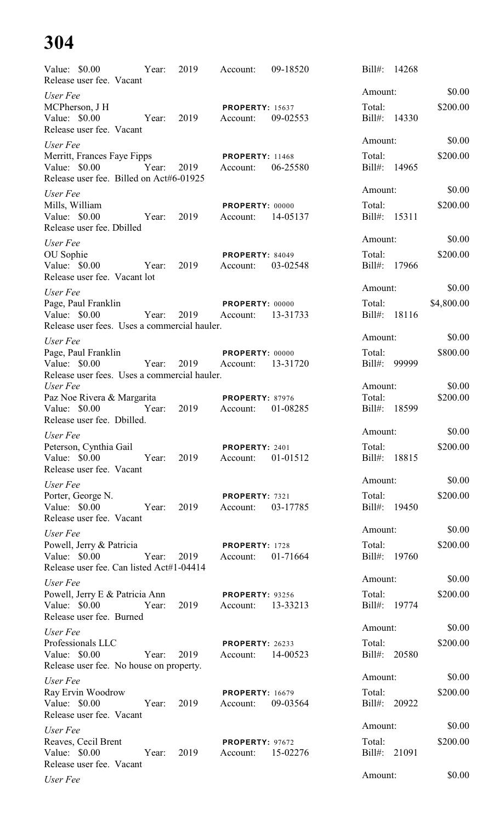| Value: $$0.00$<br>Release user fee. Vacant                                              | Year: | 2019 | Account:                             | 09-18520 | $Bill#$ :           | 14268        |            |
|-----------------------------------------------------------------------------------------|-------|------|--------------------------------------|----------|---------------------|--------------|------------|
| User Fee                                                                                |       |      |                                      |          | Amount:             |              | \$0.00     |
| MCPherson, J H<br>Value: \$0.00<br>Release user fee. Vacant                             | Year: | 2019 | <b>PROPERTY: 15637</b><br>Account:   | 09-02553 | Total:<br>$Bill#$ : | 14330        | \$200.00   |
| User Fee                                                                                |       |      |                                      |          | Amount:             |              | \$0.00     |
| Merritt, Frances Faye Fipps<br>Value: \$0.00<br>Release user fee. Billed on Act#6-01925 | Year: | 2019 | <b>PROPERTY: 11468</b><br>Account:   | 06-25580 | Total:<br>Bill#:    | 14965        | \$200.00   |
| User Fee                                                                                |       |      |                                      |          | Amount:             |              | \$0.00     |
| Mills, William<br>Value: \$0.00<br>Release user fee. Dbilled                            | Year: | 2019 | PROPERTY: 00000<br>Account:          | 14-05137 | Total:<br>Bill#:    | 15311        | \$200.00   |
| User Fee                                                                                |       |      |                                      |          | Amount:             |              | \$0.00     |
| OU Sophie<br>Value: \$0.00<br>Release user fee. Vacant lot                              | Year: | 2019 | PROPERTY: 84049<br>Account:          | 03-02548 | Total:<br>Bill#:    | 17966        | \$200.00   |
| User Fee                                                                                |       |      |                                      |          | Amount:             |              | \$0.00     |
| Page, Paul Franklin<br>Value: \$0.00<br>Release user fees. Uses a commercial hauler.    | Year: | 2019 | PROPERTY: 00000<br>Account:          | 13-31733 | Total:              | Bill#: 18116 | \$4,800.00 |
| User Fee                                                                                |       |      |                                      |          | Amount:             |              | \$0.00     |
| Page, Paul Franklin<br>Value: $$0.00$<br>Release user fees. Uses a commercial hauler.   | Year: | 2019 | PROPERTY: 00000<br>Account:          | 13-31720 | Total:<br>Bill#:    | 99999        | \$800.00   |
| User Fee                                                                                |       |      |                                      |          | Amount:             |              | \$0.00     |
| Paz Noe Rivera & Margarita<br>Value: $$0.00$<br>Release user fee. Dbilled.              | Year: | 2019 | <b>PROPERTY: 87976</b><br>Account:   | 01-08285 | Total:              | Bill#: 18599 | \$200.00   |
| User Fee                                                                                |       |      |                                      |          | Amount:             |              | \$0.00     |
| Peterson, Cynthia Gail<br>Value: \$0.00<br>Release user fee. Vacant                     | Year: | 2019 | PROPERTY: 2401<br>Account:           | 01-01512 | Total:<br>Bill#:    | 18815        | \$200.00   |
| User Fee                                                                                |       |      |                                      |          | Amount:             |              | \$0.00     |
| Porter, George N.<br>Value: \$0.00<br>Release user fee. Vacant                          | Year: | 2019 | PROPERTY: 7321<br>Account:           | 03-17785 | Total:              | Bill#: 19450 | \$200.00   |
| User Fee                                                                                |       |      |                                      |          | Amount:             |              | \$0.00     |
| Powell, Jerry & Patricia<br>Value: \$0.00<br>Release user fee. Can listed Act#1-04414   | Year: | 2019 | PROPERTY: 1728<br>Account:           | 01-71664 | Total:              | Bill#: 19760 | \$200.00   |
| User Fee                                                                                |       |      |                                      |          | Amount:             |              | \$0.00     |
| Powell, Jerry E & Patricia Ann<br>Value: \$0.00<br>Release user fee. Burned             | Year: | 2019 | <b>PROPERTY: 93256</b><br>Account:   | 13-33213 | Total:              | Bill#: 19774 | \$200.00   |
| User Fee                                                                                |       |      |                                      |          | Amount:             |              | \$0.00     |
| Professionals LLC<br>Value: \$0.00<br>Release user fee. No house on property.           | Year: | 2019 | PROPERTY: 26233<br>Account: 14-00523 |          | Total:              | Bill#: 20580 | \$200.00   |
| User Fee                                                                                |       |      |                                      |          | Amount:             |              | \$0.00     |
| Ray Ervin Woodrow<br>Value: \$0.00<br>Release user fee. Vacant                          | Year: | 2019 | <b>PROPERTY: 16679</b><br>Account:   | 09-03564 | Total:              | Bill#: 20922 | \$200.00   |
| User Fee                                                                                |       |      |                                      |          | Amount:             |              | \$0.00     |
| Reaves, Cecil Brent<br>Value: \$0.00<br>Release user fee. Vacant                        | Year: | 2019 | PROPERTY: 97672<br>Account:          | 15-02276 | Total:              | Bill#: 21091 | \$200.00   |
| User Fee                                                                                |       |      |                                      |          | Amount:             |              | \$0.00     |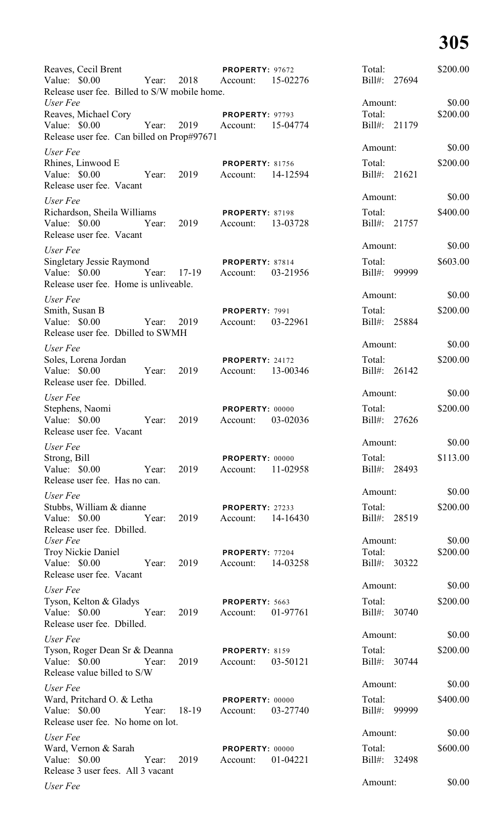| Reaves, Cecil Brent<br>Value: \$0.00<br>Year:                                                       | 2018  | PROPERTY: 97672<br>Account:          | 15-02276 | Total:<br>$Bill#$ :    | 27694  | \$200.00 |
|-----------------------------------------------------------------------------------------------------|-------|--------------------------------------|----------|------------------------|--------|----------|
| Release user fee. Billed to S/W mobile home.<br>User Fee                                            |       |                                      |          | Amount:                |        | \$0.00   |
| Reaves, Michael Cory<br>Value: \$0.00<br>Year:<br>Release user fee. Can billed on Prop#97671        | 2019  | PROPERTY: 97793<br>Account:          | 15-04774 | Total:<br>Bill#: 21179 |        | \$200.00 |
| User Fee                                                                                            |       |                                      | Amount:  |                        | \$0.00 |          |
| Rhines, Linwood E<br>Value: \$0.00<br>Year:<br>Release user fee. Vacant                             | 2019  | <b>PROPERTY: 81756</b><br>Account:   | 14-12594 | Total:<br>Bill#: 21621 |        | \$200.00 |
| User Fee                                                                                            |       |                                      |          | Amount:                |        | \$0.00   |
| Richardson, Sheila Williams<br>Value: \$0.00<br>Year:<br>Release user fee. Vacant                   | 2019  | <b>PROPERTY: 87198</b><br>Account:   | 13-03728 | Total:<br>Bill#: 21757 |        | \$400.00 |
| User Fee                                                                                            |       |                                      |          | Amount:                |        | \$0.00   |
| <b>Singletary Jessie Raymond</b><br>Value: \$0.00<br>Year:<br>Release user fee. Home is unliveable. | 17-19 | <b>PROPERTY: 87814</b><br>Account:   | 03-21956 | Total:<br>$Bill#$ :    | 99999  | \$603.00 |
| User Fee                                                                                            |       |                                      |          | Amount:                |        | \$0.00   |
| Smith, Susan B<br>Value: \$0.00<br>Year:<br>Release user fee. Dbilled to SWMH                       | 2019  | <b>PROPERTY: 7991</b><br>Account:    | 03-22961 | Total:<br>Bill#: 25884 |        | \$200.00 |
| User Fee                                                                                            |       |                                      |          | Amount:                |        | \$0.00   |
| Soles, Lorena Jordan<br>Value: \$0.00<br>Year:<br>Release user fee. Dbilled.                        | 2019  | <b>PROPERTY: 24172</b><br>Account:   | 13-00346 | Total:<br>$Bill#$ :    | 26142  | \$200.00 |
| User Fee                                                                                            |       |                                      |          | Amount:                |        | \$0.00   |
| Stephens, Naomi<br>Value: \$0.00<br>Year:<br>Release user fee. Vacant                               | 2019  | <b>PROPERTY: 00000</b><br>Account:   | 03-02036 | Total:<br>$Bill#$ :    | 27626  | \$200.00 |
| User Fee                                                                                            |       |                                      |          | Amount:                |        | \$0.00   |
| Strong, Bill<br>Value: \$0.00<br>Year:<br>Release user fee. Has no can.                             | 2019  | <b>PROPERTY: 00000</b><br>Account:   | 11-02958 | Total:<br>Bill#: 28493 |        | \$113.00 |
| User Fee                                                                                            |       |                                      |          | Amount:                |        | \$0.00   |
| Stubbs, William & dianne<br>Value: $$0.00$<br>Year:<br>Release user fee. Dbilled.                   | 2019  | <b>PROPERTY: 27233</b><br>Account:   | 14-16430 | Total:<br>Bill#: 28519 |        | \$200.00 |
| User Fee                                                                                            |       |                                      |          | Amount:                |        | \$0.00   |
| <b>Troy Nickie Daniel</b><br>Value: \$0.00<br>Year:<br>Release user fee. Vacant                     | 2019  | PROPERTY: 77204<br>Account: 14-03258 |          | Total:<br>Bill#: 30322 |        | \$200.00 |
| User Fee                                                                                            |       |                                      |          | Amount:                |        | \$0.00   |
| Tyson, Kelton & Gladys<br>Value: \$0.00<br>Year:<br>Release user fee. Dbilled.                      | 2019  | PROPERTY: 5663<br>Account: 01-97761  |          | Total:<br>Bill#: 30740 |        | \$200.00 |
| User Fee                                                                                            |       |                                      |          | Amount:                |        | \$0.00   |
| Tyson, Roger Dean Sr & Deanna<br>Value: \$0.00<br>Year:<br>Release value billed to S/W              | 2019  | <b>PROPERTY: 8159</b><br>Account:    | 03-50121 | Total:<br>Bill#: 30744 |        | \$200.00 |
| User Fee                                                                                            |       |                                      |          | Amount:                |        | \$0.00   |
| Ward, Pritchard O. & Letha<br>Value: \$0.00<br>Year: 18-19<br>Release user fee. No home on lot.     |       | <b>PROPERTY: 00000</b><br>Account:   | 03-27740 | Total:<br>Bill#: 99999 |        | \$400.00 |
| User Fee                                                                                            |       |                                      |          | Amount:                |        | \$0.00   |
| Ward, Vernon & Sarah<br>Value: \$0.00<br>Year:<br>Release 3 user fees. All 3 vacant                 | 2019  | PROPERTY: 00000<br>Account:          | 01-04221 | Total:<br>Bill#: 32498 |        | \$600.00 |
| User Fee                                                                                            |       |                                      |          | Amount:                |        | \$0.00   |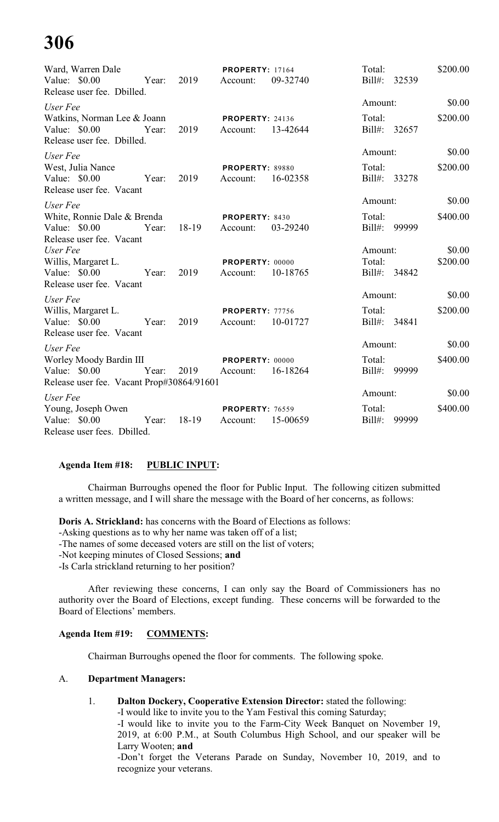| Ward, Warren Dale                                    |       |            | <b>PROPERTY: 17164</b> |          | Total:    |              | \$200.00 |
|------------------------------------------------------|-------|------------|------------------------|----------|-----------|--------------|----------|
| Value: \$0.00<br>Release user fee. Dbilled.          |       | Year: 2019 | Account:               | 09-32740 |           | Bill#: 32539 |          |
| User Fee                                             |       |            |                        |          | Amount:   |              | \$0.00   |
| Watkins, Norman Lee & Joann                          |       |            | <b>PROPERTY: 24136</b> |          | Total:    |              | \$200.00 |
| Value: \$0.00<br>Year:<br>Release user fee. Dbilled. |       | 2019       | Account:               | 13-42644 |           | Bill#: 32657 |          |
| User Fee                                             |       |            |                        |          | Amount:   |              | \$0.00   |
| West, Julia Nance                                    |       |            | <b>PROPERTY: 89880</b> |          | Total:    |              | \$200.00 |
| Value: $$0.00$<br>Release user fee. Vacant           | Year: | 2019       | Account:               | 16-02358 |           | Bill#: 33278 |          |
| User Fee                                             |       |            |                        |          | Amount:   |              | \$0.00   |
| White, Ronnie Dale & Brenda                          |       |            | PROPERTY: 8430         |          | Total:    |              | \$400.00 |
| Value: \$0.00<br>Year:                               |       | 18-19      | Account:               | 03-29240 |           | Bill#: 99999 |          |
| Release user fee. Vacant                             |       |            |                        |          |           |              |          |
| User Fee                                             |       |            |                        |          | Amount:   |              | \$0.00   |
| Willis, Margaret L.                                  |       |            | PROPERTY: 00000        |          | Total:    |              | \$200.00 |
| Value: \$0.00 Year:<br>Release user fee. Vacant      |       | 2019       | Account: 10-18765      |          |           | Bill#: 34842 |          |
| User Fee                                             |       |            |                        |          | Amount:   |              | \$0.00   |
| Willis, Margaret L.                                  |       |            | <b>PROPERTY: 77756</b> |          | Total:    |              | \$200.00 |
| Value: \$0.00 Year:                                  |       | 2019       | Account: 10-01727      |          |           | Bill#: 34841 |          |
| Release user fee. Vacant                             |       |            |                        |          |           |              |          |
| User Fee                                             |       |            |                        |          | Amount:   |              | \$0.00   |
| Worley Moody Bardin III                              |       |            | <b>PROPERTY: 00000</b> |          | Total:    |              | \$400.00 |
| Value: \$0.00 Year: 2019                             |       |            | Account: 16-18264      |          |           | Bill#: 99999 |          |
| Release user fee. Vacant Prop#30864/91601            |       |            |                        |          |           |              |          |
| User Fee                                             |       |            |                        |          | Amount:   |              | \$0.00   |
| Young, Joseph Owen                                   |       |            | <b>PROPERTY: 76559</b> |          | Total:    |              | \$400.00 |
| Value: $$0.00$<br>Year:                              |       | 18-19      | Account:               | 15-00659 | $Bill#$ : | 99999        |          |
| Release user fees. Dbilled.                          |       |            |                        |          |           |              |          |

## **Agenda Item #18: PUBLIC INPUT:**

Chairman Burroughs opened the floor for Public Input. The following citizen submitted a written message, and I will share the message with the Board of her concerns, as follows:

**Doris A. Strickland:** has concerns with the Board of Elections as follows:

-Asking questions as to why her name was taken off of a list;

-The names of some deceased voters are still on the list of voters;

-Not keeping minutes of Closed Sessions; **and**

-Is Carla strickland returning to her position?

After reviewing these concerns, I can only say the Board of Commissioners has no authority over the Board of Elections, except funding. These concerns will be forwarded to the Board of Elections' members.

### **Agenda Item #19: COMMENTS:**

Chairman Burroughs opened the floor for comments. The following spoke.

### A. **Department Managers:**

1. **Dalton Dockery, Cooperative Extension Director:** stated the following:

-I would like to invite you to the Yam Festival this coming Saturday; -I would like to invite you to the Farm-City Week Banquet on November 19, 2019, at 6:00 P.M., at South Columbus High School, and our speaker will be Larry Wooten; **and**

-Don't forget the Veterans Parade on Sunday, November 10, 2019, and to recognize your veterans.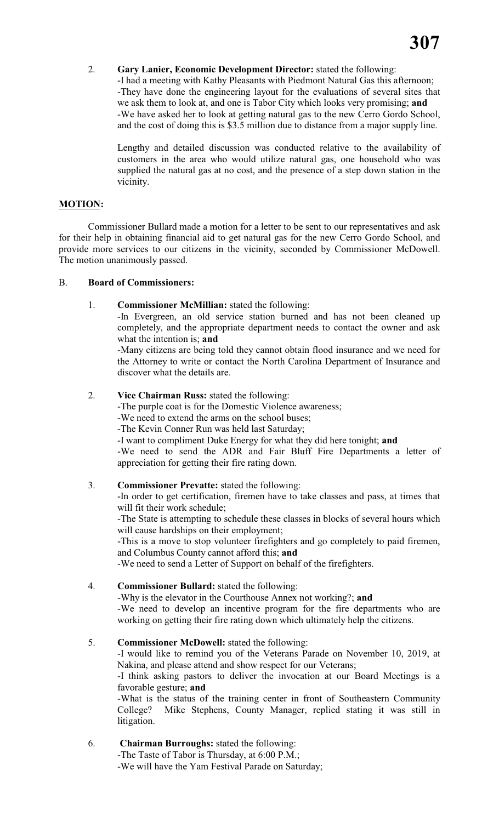# 2. **Gary Lanier, Economic Development Director:** stated the following:

-I had a meeting with Kathy Pleasants with Piedmont Natural Gas this afternoon; -They have done the engineering layout for the evaluations of several sites that we ask them to look at, and one is Tabor City which looks very promising; **and** -We have asked her to look at getting natural gas to the new Cerro Gordo School, and the cost of doing this is \$3.5 million due to distance from a major supply line.

Lengthy and detailed discussion was conducted relative to the availability of customers in the area who would utilize natural gas, one household who was supplied the natural gas at no cost, and the presence of a step down station in the vicinity.

# **MOTION:**

Commissioner Bullard made a motion for a letter to be sent to our representatives and ask for their help in obtaining financial aid to get natural gas for the new Cerro Gordo School, and provide more services to our citizens in the vicinity, seconded by Commissioner McDowell. The motion unanimously passed.

## B. **Board of Commissioners:**

1. **Commissioner McMillian:** stated the following:

-In Evergreen, an old service station burned and has not been cleaned up completely, and the appropriate department needs to contact the owner and ask what the intention is; **and**

-Many citizens are being told they cannot obtain flood insurance and we need for the Attorney to write or contact the North Carolina Department of Insurance and discover what the details are.

## 2. **Vice Chairman Russ:** stated the following:

-The purple coat is for the Domestic Violence awareness;

-We need to extend the arms on the school buses;

-The Kevin Conner Run was held last Saturday;

-I want to compliment Duke Energy for what they did here tonight; **and**

-We need to send the ADR and Fair Bluff Fire Departments a letter of appreciation for getting their fire rating down.

## 3. **Commissioner Prevatte:** stated the following:

-In order to get certification, firemen have to take classes and pass, at times that will fit their work schedule:

-The State is attempting to schedule these classes in blocks of several hours which will cause hardships on their employment;

-This is a move to stop volunteer firefighters and go completely to paid firemen, and Columbus County cannot afford this; **and**

-We need to send a Letter of Support on behalf of the firefighters.

# 4. **Commissioner Bullard:** stated the following:

-Why is the elevator in the Courthouse Annex not working?; **and** -We need to develop an incentive program for the fire departments who are working on getting their fire rating down which ultimately help the citizens.

## 5. **Commissioner McDowell:** stated the following:

-I would like to remind you of the Veterans Parade on November 10, 2019, at Nakina, and please attend and show respect for our Veterans;

-I think asking pastors to deliver the invocation at our Board Meetings is a favorable gesture; **and**

-What is the status of the training center in front of Southeastern Community College? Mike Stephens, County Manager, replied stating it was still in litigation.

# 6. **Chairman Burroughs:** stated the following:

-The Taste of Tabor is Thursday, at 6:00 P.M.;

-We will have the Yam Festival Parade on Saturday;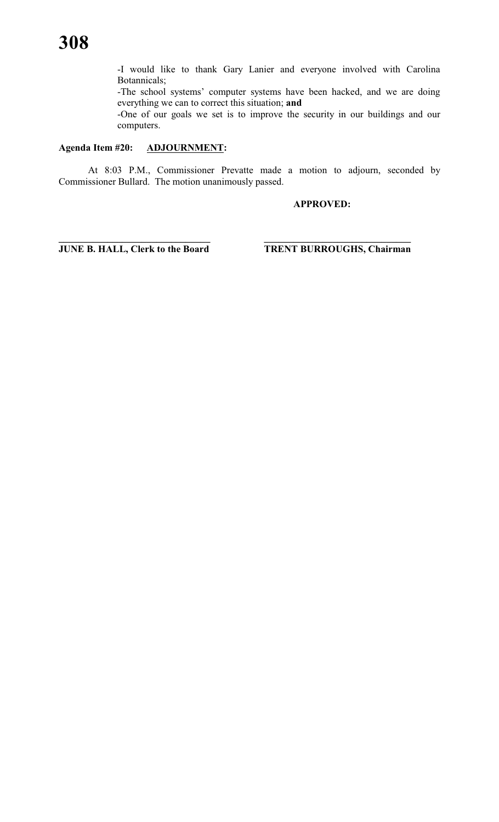-I would like to thank Gary Lanier and everyone involved with Carolina Botannicals;

-The school systems' computer systems have been hacked, and we are doing everything we can to correct this situation; **and**

-One of our goals we set is to improve the security in our buildings and our computers.

### **Agenda Item #20: ADJOURNMENT:**

At 8:03 P.M., Commissioner Prevatte made a motion to adjourn, seconded by Commissioner Bullard. The motion unanimously passed.

# **APPROVED:**

**\_\_\_\_\_\_\_\_\_\_\_\_\_\_\_\_\_\_\_\_\_\_\_\_\_\_\_\_\_\_\_ \_\_\_\_\_\_\_\_\_\_\_\_\_\_\_\_\_\_\_\_\_\_\_\_\_\_\_\_\_\_ JUNE B. HALL, Clerk to the Board TRENT BURROUGHS, Chairman**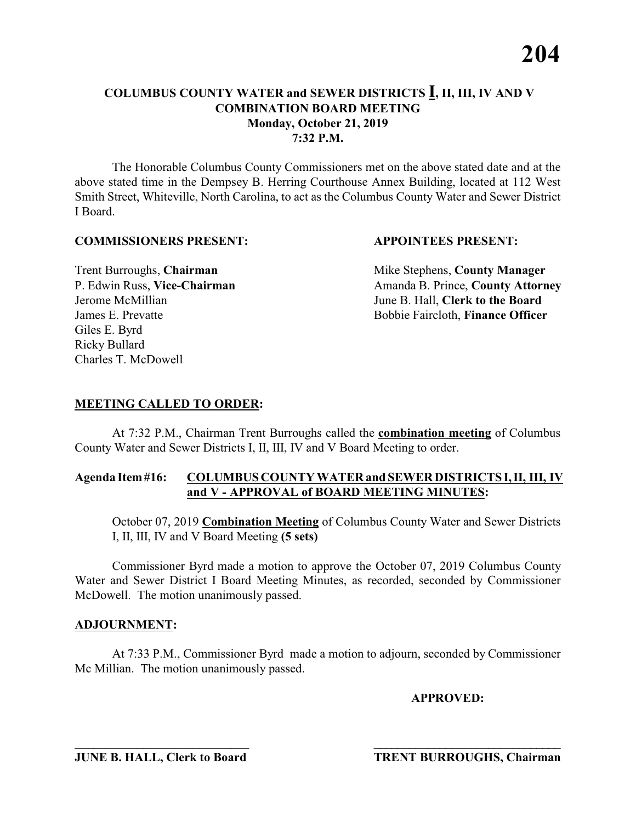The Honorable Columbus County Commissioners met on the above stated date and at the above stated time in the Dempsey B. Herring Courthouse Annex Building, located at 112 West Smith Street, Whiteville, North Carolina, to act as the Columbus County Water and Sewer District I Board.

### **COMMISSIONERS PRESENT: APPOINTEES PRESENT:**

Giles E. Byrd Ricky Bullard Charles T. McDowell

**Trent Burroughs, Chairman** Mike Stephens, **County Manager** P. Edwin Russ, Vice-Chairman Amanda B. Prince, County Attorney Jerome McMillian June B. Hall, **Clerk to the Board** James E. Prevatte Bobbie Faircloth, **Finance Officer**

# **MEETING CALLED TO ORDER:**

At 7:32 P.M., Chairman Trent Burroughs called the **combination meeting** of Columbus County Water and Sewer Districts I, II, III, IV and V Board Meeting to order.

### **Agenda Item #16: COLUMBUS COUNTY WATER and SEWER DISTRICTS I, II, III, IV and V - APPROVAL of BOARD MEETING MINUTES:**

October 07, 2019 **Combination Meeting** of Columbus County Water and Sewer Districts I, II, III, IV and V Board Meeting **(5 sets)**

Commissioner Byrd made a motion to approve the October 07, 2019 Columbus County Water and Sewer District I Board Meeting Minutes, as recorded, seconded by Commissioner McDowell. The motion unanimously passed.

# **ADJOURNMENT:**

At 7:33 P.M., Commissioner Byrd made a motion to adjourn, seconded by Commissioner Mc Millian. The motion unanimously passed.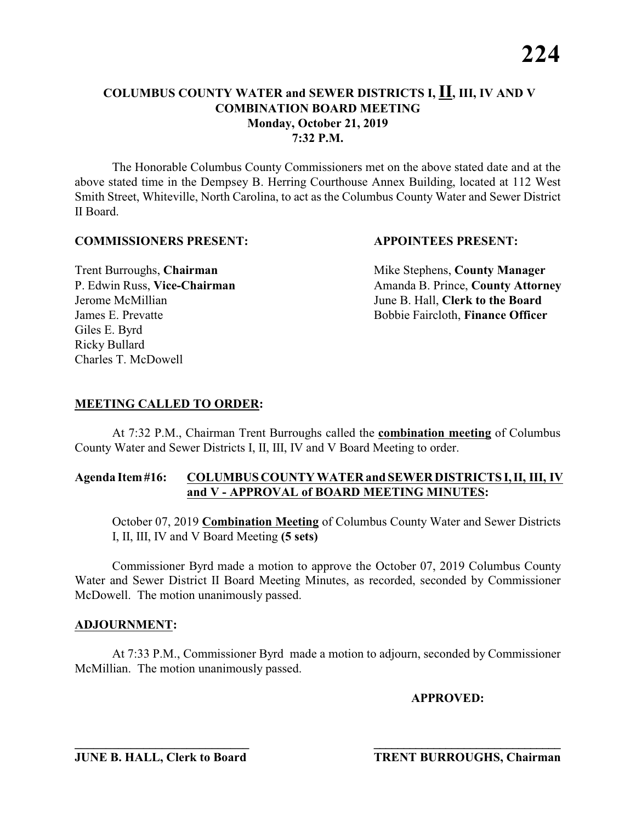The Honorable Columbus County Commissioners met on the above stated date and at the above stated time in the Dempsey B. Herring Courthouse Annex Building, located at 112 West Smith Street, Whiteville, North Carolina, to act as the Columbus County Water and Sewer District II Board.

### **COMMISSIONERS PRESENT: APPOINTEES PRESENT:**

Giles E. Byrd Ricky Bullard Charles T. McDowell

**Trent Burroughs, Chairman** Mike Stephens, **County Manager** P. Edwin Russ, Vice-Chairman Amanda B. Prince, County Attorney Jerome McMillian June B. Hall, **Clerk to the Board** James E. Prevatte Bobbie Faircloth, **Finance Officer**

# **MEETING CALLED TO ORDER:**

At 7:32 P.M., Chairman Trent Burroughs called the **combination meeting** of Columbus County Water and Sewer Districts I, II, III, IV and V Board Meeting to order.

### **Agenda Item #16: COLUMBUS COUNTY WATER and SEWER DISTRICTS I, II, III, IV and V - APPROVAL of BOARD MEETING MINUTES:**

October 07, 2019 **Combination Meeting** of Columbus County Water and Sewer Districts I, II, III, IV and V Board Meeting **(5 sets)**

Commissioner Byrd made a motion to approve the October 07, 2019 Columbus County Water and Sewer District II Board Meeting Minutes, as recorded, seconded by Commissioner McDowell. The motion unanimously passed.

# **ADJOURNMENT:**

At 7:33 P.M., Commissioner Byrd made a motion to adjourn, seconded by Commissioner McMillian. The motion unanimously passed.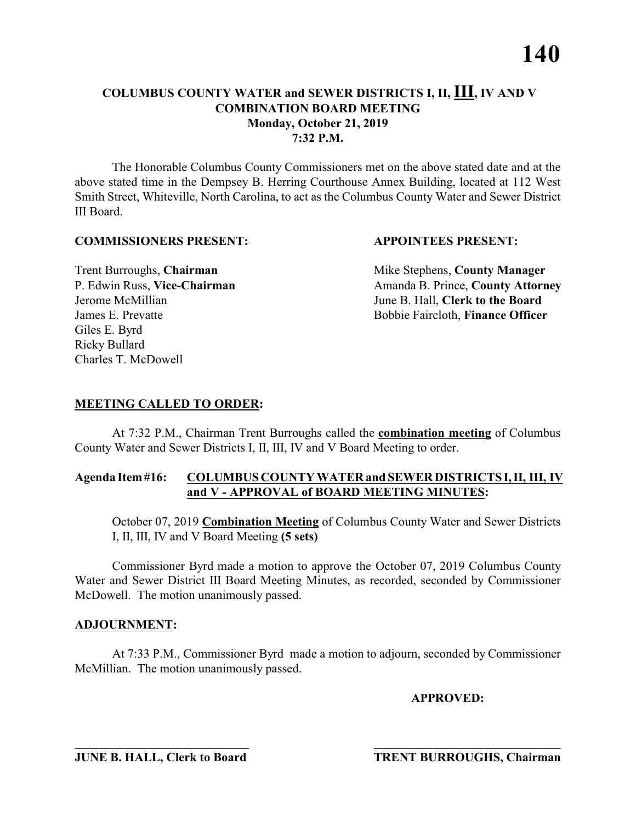The Honorable Columbus County Commissioners met on the above stated date and at the above stated time in the Dempsey B. Herring Courthouse Annex Building, located at 112 West Smith Street, Whiteville, North Carolina, to act as the Columbus County Water and Sewer District III Board.

### **COMMISSIONERS PRESENT: APPOINTEES PRESENT:**

Giles E. Byrd Ricky Bullard Charles T. McDowell

**Trent Burroughs, Chairman** Mike Stephens, **County Manager** P. Edwin Russ, Vice-Chairman Amanda B. Prince, County Attorney Jerome McMillian June B. Hall, **Clerk to the Board** James E. Prevatte Bobbie Faircloth, **Finance Officer**

# **MEETING CALLED TO ORDER:**

At 7:32 P.M., Chairman Trent Burroughs called the **combination meeting** of Columbus County Water and Sewer Districts I, II, III, IV and V Board Meeting to order.

### **Agenda Item #16: COLUMBUS COUNTY WATER and SEWER DISTRICTS I, II, III, IV and V - APPROVAL of BOARD MEETING MINUTES:**

October 07, 2019 **Combination Meeting** of Columbus County Water and Sewer Districts I, II, III, IV and V Board Meeting **(5 sets)**

Commissioner Byrd made a motion to approve the October 07, 2019 Columbus County Water and Sewer District III Board Meeting Minutes, as recorded, seconded by Commissioner McDowell. The motion unanimously passed.

# **ADJOURNMENT:**

At 7:33 P.M., Commissioner Byrd made a motion to adjourn, seconded by Commissioner McMillian. The motion unanimously passed.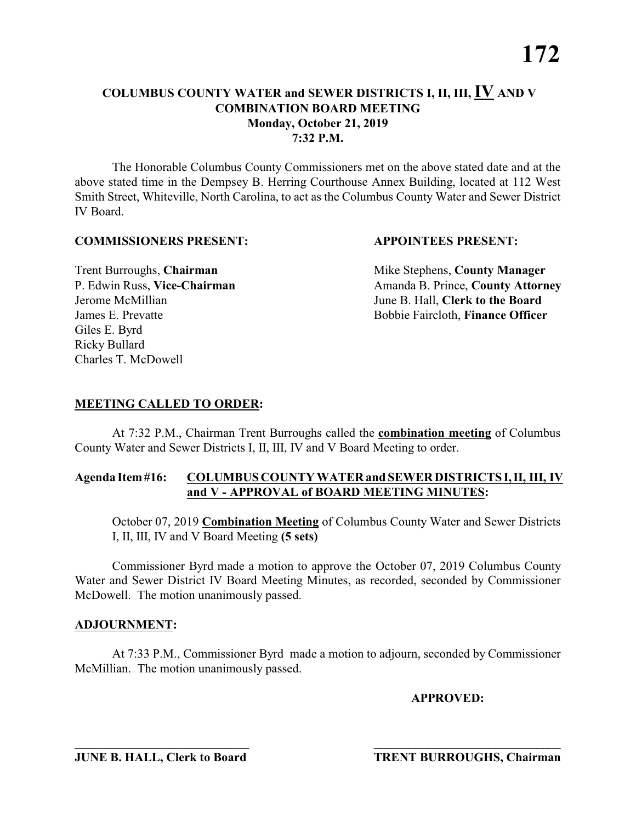The Honorable Columbus County Commissioners met on the above stated date and at the above stated time in the Dempsey B. Herring Courthouse Annex Building, located at 112 West Smith Street, Whiteville, North Carolina, to act as the Columbus County Water and Sewer District IV Board.

### **COMMISSIONERS PRESENT: APPOINTEES PRESENT:**

Giles E. Byrd Ricky Bullard Charles T. McDowell

**Trent Burroughs, Chairman** Mike Stephens, **County Manager** P. Edwin Russ, Vice-Chairman Amanda B. Prince, County Attorney Jerome McMillian June B. Hall, **Clerk to the Board** James E. Prevatte Bobbie Faircloth, **Finance Officer**

# **MEETING CALLED TO ORDER:**

At 7:32 P.M., Chairman Trent Burroughs called the **combination meeting** of Columbus County Water and Sewer Districts I, II, III, IV and V Board Meeting to order.

### **Agenda Item #16: COLUMBUS COUNTY WATER and SEWER DISTRICTS I, II, III, IV and V - APPROVAL of BOARD MEETING MINUTES:**

October 07, 2019 **Combination Meeting** of Columbus County Water and Sewer Districts I, II, III, IV and V Board Meeting **(5 sets)**

Commissioner Byrd made a motion to approve the October 07, 2019 Columbus County Water and Sewer District IV Board Meeting Minutes, as recorded, seconded by Commissioner McDowell. The motion unanimously passed.

# **ADJOURNMENT:**

At 7:33 P.M., Commissioner Byrd made a motion to adjourn, seconded by Commissioner McMillian. The motion unanimously passed.